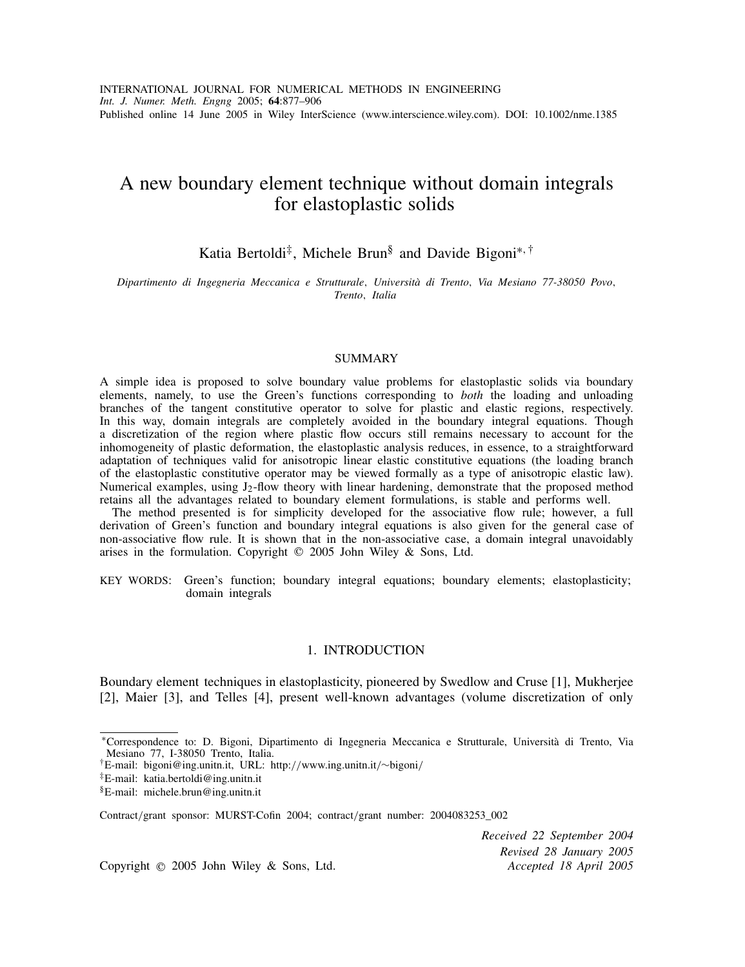# A new boundary element technique without domain integrals for elastoplastic solids

Katia Bertoldi‡, Michele Brun§ and Davide Bigoni∗*,*†

*Dipartimento di Ingegneria Meccanica e Strutturale, Università di Trento, Via Mesiano 77-38050 Povo, Trento, Italia*

## SUMMARY

A simple idea is proposed to solve boundary value problems for elastoplastic solids via boundary elements, namely, to use the Green's functions corresponding to *both* the loading and unloading branches of the tangent constitutive operator to solve for plastic and elastic regions, respectively. In this way, domain integrals are completely avoided in the boundary integral equations. Though a discretization of the region where plastic flow occurs still remains necessary to account for the inhomogeneity of plastic deformation, the elastoplastic analysis reduces, in essence, to a straightforward adaptation of techniques valid for anisotropic linear elastic constitutive equations (the loading branch of the elastoplastic constitutive operator may be viewed formally as a type of anisotropic elastic law). Numerical examples, using  $J_2$ -flow theory with linear hardening, demonstrate that the proposed method retains all the advantages related to boundary element formulations, is stable and performs well.

The method presented is for simplicity developed for the associative flow rule; however, a full derivation of Green's function and boundary integral equations is also given for the general case of non-associative flow rule. It is shown that in the non-associative case, a domain integral unavoidably arises in the formulation. Copyright  $\odot$  2005 John Wiley & Sons, Ltd.

KEY WORDS: Green's function; boundary integral equations; boundary elements; elastoplasticity; domain integrals

#### 1. INTRODUCTION

Boundary element techniques in elastoplasticity, pioneered by Swedlow and Cruse [1], Mukherjee [2], Maier [3], and Telles [4], present well-known advantages (volume discretization of only

Contract*/*grant sponsor: MURST-Cofin 2004; contract*/*grant number: 2004083253\_002

*Received 22 September 2004 Revised 28 January 2005*

Copyright 2005 John Wiley & Sons, Ltd. *Accepted 18 April 2005*

<sup>∗</sup>Correspondence to: D. Bigoni, Dipartimento di Ingegneria Meccanica e Strutturale, Università di Trento, Via Mesiano 77, I-38050 Trento, Italia.

<sup>†</sup>E-mail: bigoni@ing.unitn.it, URL: http:*//*www.ing.unitn.it*/*∼bigoni*/*

<sup>‡</sup>E-mail: katia.bertoldi@ing.unitn.it

<sup>§</sup>E-mail: michele.brun@ing.unitn.it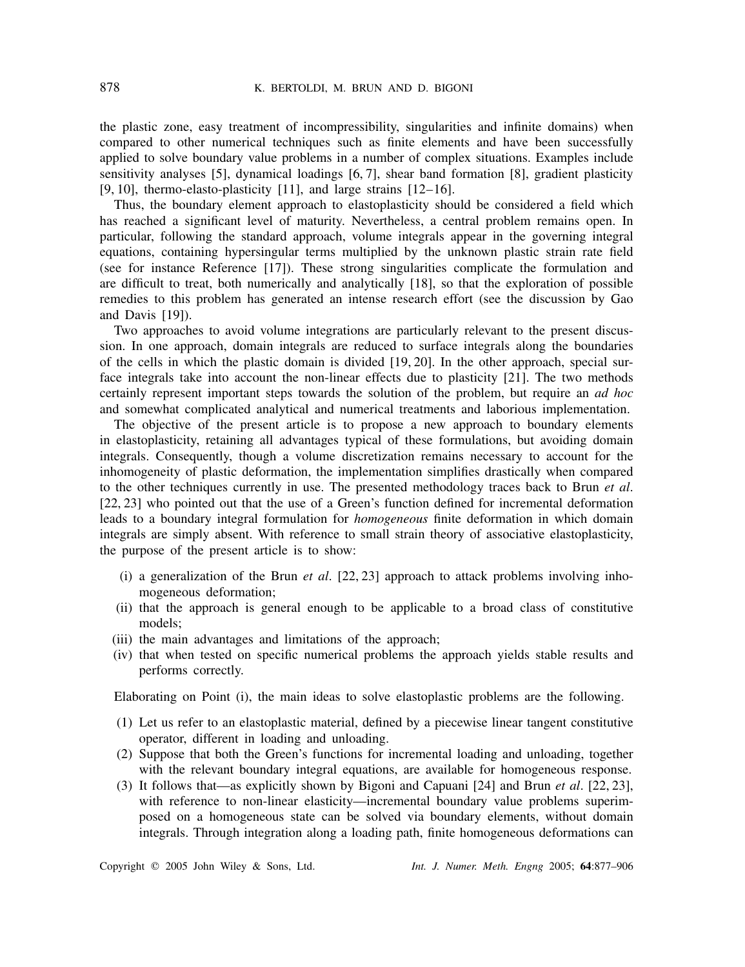the plastic zone, easy treatment of incompressibility, singularities and infinite domains) when compared to other numerical techniques such as finite elements and have been successfully applied to solve boundary value problems in a number of complex situations. Examples include sensitivity analyses [5], dynamical loadings [6, 7], shear band formation [8], gradient plasticity [9, 10], thermo-elasto-plasticity [11], and large strains [12–16].

Thus, the boundary element approach to elastoplasticity should be considered a field which has reached a significant level of maturity. Nevertheless, a central problem remains open. In particular, following the standard approach, volume integrals appear in the governing integral equations, containing hypersingular terms multiplied by the unknown plastic strain rate field (see for instance Reference [17]). These strong singularities complicate the formulation and are difficult to treat, both numerically and analytically [18], so that the exploration of possible remedies to this problem has generated an intense research effort (see the discussion by Gao and Davis [19]).

Two approaches to avoid volume integrations are particularly relevant to the present discussion. In one approach, domain integrals are reduced to surface integrals along the boundaries of the cells in which the plastic domain is divided [19, 20]. In the other approach, special surface integrals take into account the non-linear effects due to plasticity [21]. The two methods certainly represent important steps towards the solution of the problem, but require an *ad hoc* and somewhat complicated analytical and numerical treatments and laborious implementation.

The objective of the present article is to propose a new approach to boundary elements in elastoplasticity, retaining all advantages typical of these formulations, but avoiding domain integrals. Consequently, though a volume discretization remains necessary to account for the inhomogeneity of plastic deformation, the implementation simplifies drastically when compared to the other techniques currently in use. The presented methodology traces back to Brun *et al*. [22, 23] who pointed out that the use of a Green's function defined for incremental deformation leads to a boundary integral formulation for *homogeneous* finite deformation in which domain integrals are simply absent. With reference to small strain theory of associative elastoplasticity, the purpose of the present article is to show:

- (i) a generalization of the Brun *et al*. [22, 23] approach to attack problems involving inhomogeneous deformation;
- (ii) that the approach is general enough to be applicable to a broad class of constitutive models;
- (iii) the main advantages and limitations of the approach;
- (iv) that when tested on specific numerical problems the approach yields stable results and performs correctly.

Elaborating on Point (i), the main ideas to solve elastoplastic problems are the following.

- (1) Let us refer to an elastoplastic material, defined by a piecewise linear tangent constitutive operator, different in loading and unloading.
- (2) Suppose that both the Green's functions for incremental loading and unloading, together with the relevant boundary integral equations, are available for homogeneous response.
- (3) It follows that—as explicitly shown by Bigoni and Capuani [24] and Brun *et al*. [22, 23], with reference to non-linear elasticity—incremental boundary value problems superimposed on a homogeneous state can be solved via boundary elements, without domain integrals. Through integration along a loading path, finite homogeneous deformations can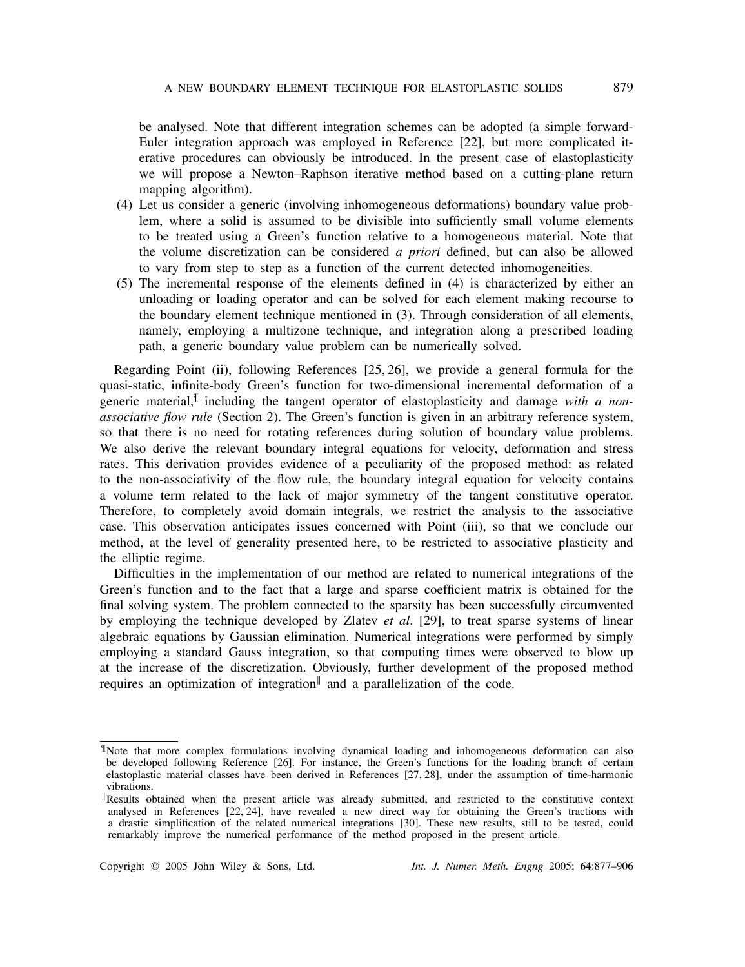be analysed. Note that different integration schemes can be adopted (a simple forward-Euler integration approach was employed in Reference [22], but more complicated iterative procedures can obviously be introduced. In the present case of elastoplasticity we will propose a Newton–Raphson iterative method based on a cutting-plane return mapping algorithm).

- (4) Let us consider a generic (involving inhomogeneous deformations) boundary value problem, where a solid is assumed to be divisible into sufficiently small volume elements to be treated using a Green's function relative to a homogeneous material. Note that the volume discretization can be considered *a priori* defined, but can also be allowed to vary from step to step as a function of the current detected inhomogeneities.
- (5) The incremental response of the elements defined in (4) is characterized by either an unloading or loading operator and can be solved for each element making recourse to the boundary element technique mentioned in (3). Through consideration of all elements, namely, employing a multizone technique, and integration along a prescribed loading path, a generic boundary value problem can be numerically solved.

Regarding Point (ii), following References [25, 26], we provide a general formula for the quasi-static, infinite-body Green's function for two-dimensional incremental deformation of a generic material,¶ including the tangent operator of elastoplasticity and damage *with a nonassociative flow rule* (Section 2). The Green's function is given in an arbitrary reference system, so that there is no need for rotating references during solution of boundary value problems. We also derive the relevant boundary integral equations for velocity, deformation and stress rates. This derivation provides evidence of a peculiarity of the proposed method: as related to the non-associativity of the flow rule, the boundary integral equation for velocity contains a volume term related to the lack of major symmetry of the tangent constitutive operator. Therefore, to completely avoid domain integrals, we restrict the analysis to the associative case. This observation anticipates issues concerned with Point (iii), so that we conclude our method, at the level of generality presented here, to be restricted to associative plasticity and the elliptic regime.

Difficulties in the implementation of our method are related to numerical integrations of the Green's function and to the fact that a large and sparse coefficient matrix is obtained for the final solving system. The problem connected to the sparsity has been successfully circumvented by employing the technique developed by Zlatev *et al*. [29], to treat sparse systems of linear algebraic equations by Gaussian elimination. Numerical integrations were performed by simply employing a standard Gauss integration, so that computing times were observed to blow up at the increase of the discretization. Obviously, further development of the proposed method requires an optimization of integration  $\parallel$  and a parallelization of the code.

<sup>¶</sup>Note that more complex formulations involving dynamical loading and inhomogeneous deformation can also be developed following Reference [26]. For instance, the Green's functions for the loading branch of certain elastoplastic material classes have been derived in References [27, 28], under the assumption of time-harmonic vibrations.

Results obtained when the present article was already submitted, and restricted to the constitutive context analysed in References [22, 24], have revealed a new direct way for obtaining the Green's tractions with a drastic simplification of the related numerical integrations [30]. These new results, still to be tested, could remarkably improve the numerical performance of the method proposed in the present article.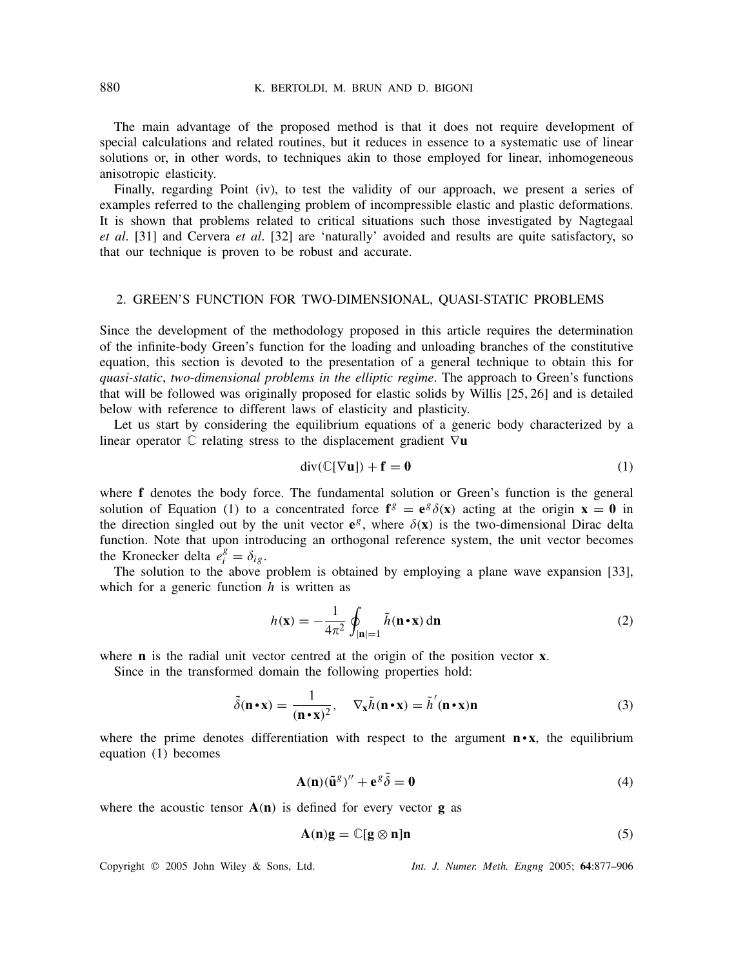The main advantage of the proposed method is that it does not require development of special calculations and related routines, but it reduces in essence to a systematic use of linear solutions or, in other words, to techniques akin to those employed for linear, inhomogeneous anisotropic elasticity.

Finally, regarding Point (iv), to test the validity of our approach, we present a series of examples referred to the challenging problem of incompressible elastic and plastic deformations. It is shown that problems related to critical situations such those investigated by Nagtegaal *et al*. [31] and Cervera *et al*. [32] are 'naturally' avoided and results are quite satisfactory, so that our technique is proven to be robust and accurate.

## 2. GREEN'S FUNCTION FOR TWO-DIMENSIONAL, QUASI-STATIC PROBLEMS

Since the development of the methodology proposed in this article requires the determination of the infinite-body Green's function for the loading and unloading branches of the constitutive equation, this section is devoted to the presentation of a general technique to obtain this for *quasi-static*, *two-dimensional problems in the elliptic regime*. The approach to Green's functions that will be followed was originally proposed for elastic solids by Willis [25, 26] and is detailed below with reference to different laws of elasticity and plasticity.

Let us start by considering the equilibrium equations of a generic body characterized by a linear operator C relating stress to the displacement gradient ∇**u**

$$
\operatorname{div}(\mathbb{C}[\nabla \mathbf{u}]) + \mathbf{f} = \mathbf{0} \tag{1}
$$

where **f** denotes the body force. The fundamental solution or Green's function is the general solution of Equation (1) to a concentrated force  $f^g = e^g \delta(x)$  acting at the origin  $x = 0$  in the direction singled out by the unit vector  $e^g$ , where  $\delta(x)$  is the two-dimensional Dirac delta function. Note that upon introducing an orthogonal reference system, the unit vector becomes the Kronecker delta  $e_i^g = \delta_{ig}$ .<br>The solution to the above

The solution to the above problem is obtained by employing a plane wave expansion [33], which for a generic function *h* is written as

$$
h(\mathbf{x}) = -\frac{1}{4\pi^2} \oint_{|\mathbf{n}|=1} \tilde{h}(\mathbf{n} \cdot \mathbf{x}) \, \mathrm{d}\mathbf{n} \tag{2}
$$

where **n** is the radial unit vector centred at the origin of the position vector **x**.

Since in the transformed domain the following properties hold:

$$
\tilde{\delta}(\mathbf{n} \cdot \mathbf{x}) = \frac{1}{(\mathbf{n} \cdot \mathbf{x})^2}, \quad \nabla_{\mathbf{x}} \tilde{h}(\mathbf{n} \cdot \mathbf{x}) = \tilde{h}'(\mathbf{n} \cdot \mathbf{x})\mathbf{n}
$$
\n(3)

where the prime denotes differentiation with respect to the argument  $\mathbf{n} \cdot \mathbf{x}$ , the equilibrium equation (1) becomes

$$
\mathbf{A}(\mathbf{n})(\tilde{\mathbf{u}}^g)'' + \mathbf{e}^g \tilde{\delta} = \mathbf{0}
$$
 (4)

where the acoustic tensor  $A(n)$  is defined for every vector **g** as

$$
\mathbf{A}(\mathbf{n})\mathbf{g} = \mathbb{C}[\mathbf{g} \otimes \mathbf{n}]\mathbf{n} \tag{5}
$$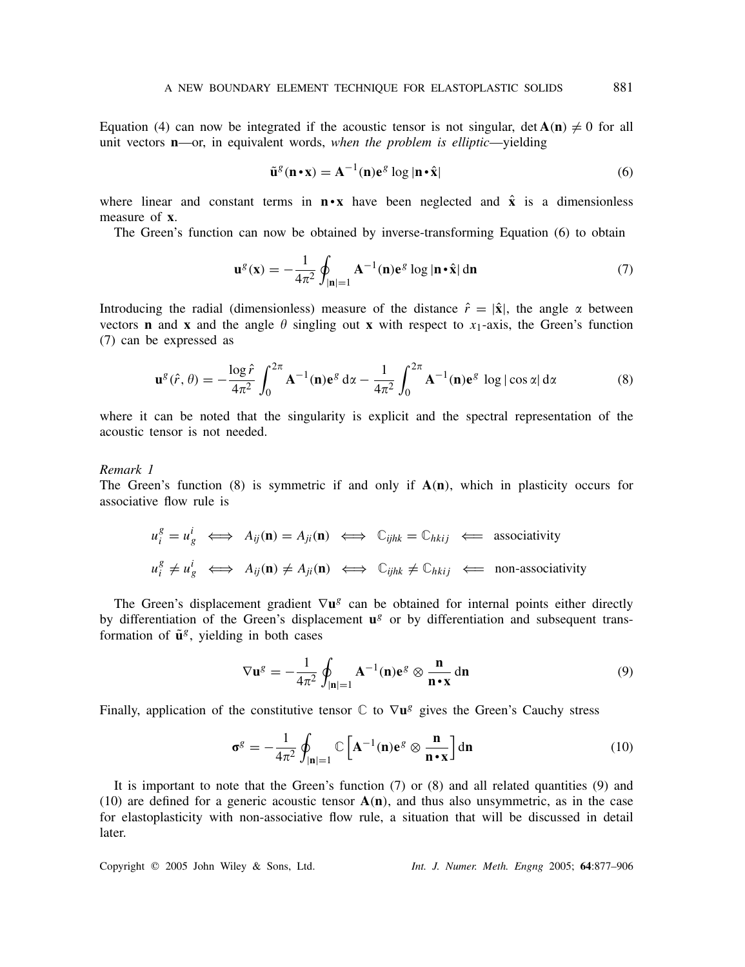Equation (4) can now be integrated if the acoustic tensor is not singular, det  $A(n) \neq 0$  for all unit vectors **n**—or, in equivalent words, *when the problem is elliptic*—yielding

$$
\tilde{\mathbf{u}}^{g}(\mathbf{n} \cdot \mathbf{x}) = \mathbf{A}^{-1}(\mathbf{n}) \mathbf{e}^{g} \log |\mathbf{n} \cdot \hat{\mathbf{x}}|
$$
 (6)

where linear and constant terms in  $\mathbf{n} \cdot \mathbf{x}$  have been neglected and  $\hat{\mathbf{x}}$  is a dimensionless measure of **x**.

The Green's function can now be obtained by inverse-transforming Equation (6) to obtain

$$
\mathbf{u}^{g}(\mathbf{x}) = -\frac{1}{4\pi^2} \oint_{|\mathbf{n}|=1} \mathbf{A}^{-1}(\mathbf{n}) \mathbf{e}^{g} \log |\mathbf{n} \cdot \hat{\mathbf{x}}| d\mathbf{n}
$$
 (7)

Introducing the radial (dimensionless) measure of the distance  $\hat{r} = |\hat{x}|$ , the angle  $\alpha$  between vectors **n** and **x** and the angle  $\theta$  singling out **x** with respect to  $x_1$ -axis, the Green's function (7) can be expressed as

$$
\mathbf{u}^{g}(\hat{r},\theta) = -\frac{\log \hat{r}}{4\pi^2} \int_0^{2\pi} \mathbf{A}^{-1}(\mathbf{n}) \mathbf{e}^{g} d\alpha - \frac{1}{4\pi^2} \int_0^{2\pi} \mathbf{A}^{-1}(\mathbf{n}) \mathbf{e}^{g} \log |\cos \alpha| d\alpha \tag{8}
$$

where it can be noted that the singularity is explicit and the spectral representation of the acoustic tensor is not needed.

## *Remark 1*

The Green's function (8) is symmetric if and only if  $A(n)$ , which in plasticity occurs for associative flow rule is

$$
u_i^g = u_g^i \iff A_{ij}(\mathbf{n}) = A_{ji}(\mathbf{n}) \iff \mathbb{C}_{ijhk} = \mathbb{C}_{hkij} \iff \text{associativity}
$$
  

$$
u_i^g \neq u_g^i \iff A_{ij}(\mathbf{n}) \neq A_{ji}(\mathbf{n}) \iff \mathbb{C}_{ijhk} \neq \mathbb{C}_{hkij} \iff \text{non-associativity}
$$

The Green's displacement gradient ∇**u***<sup>g</sup>* can be obtained for internal points either directly by differentiation of the Green's displacement  $\mathbf{u}^g$  or by differentiation and subsequent transformation of  $\tilde{\mathbf{u}}^g$ , yielding in both cases

$$
\nabla \mathbf{u}^g = -\frac{1}{4\pi^2} \oint_{|\mathbf{n}|=1} \mathbf{A}^{-1}(\mathbf{n}) \mathbf{e}^g \otimes \frac{\mathbf{n}}{\mathbf{n} \cdot \mathbf{x}} \,\mathrm{d}\mathbf{n} \tag{9}
$$

Finally, application of the constitutive tensor C to ∇**u***<sup>g</sup>* gives the Green's Cauchy stress

$$
\boldsymbol{\sigma}^g = -\frac{1}{4\pi^2} \oint_{|\mathbf{n}|=1} \mathbb{C} \left[ \mathbf{A}^{-1}(\mathbf{n}) \mathbf{e}^g \otimes \frac{\mathbf{n}}{\mathbf{n} \cdot \mathbf{x}} \right] d\mathbf{n}
$$
 (10)

It is important to note that the Green's function (7) or (8) and all related quantities (9) and (10) are defined for a generic acoustic tensor **<sup>A</sup>***(***n***)*, and thus also unsymmetric, as in the case for elastoplasticity with non-associative flow rule, a situation that will be discussed in detail later.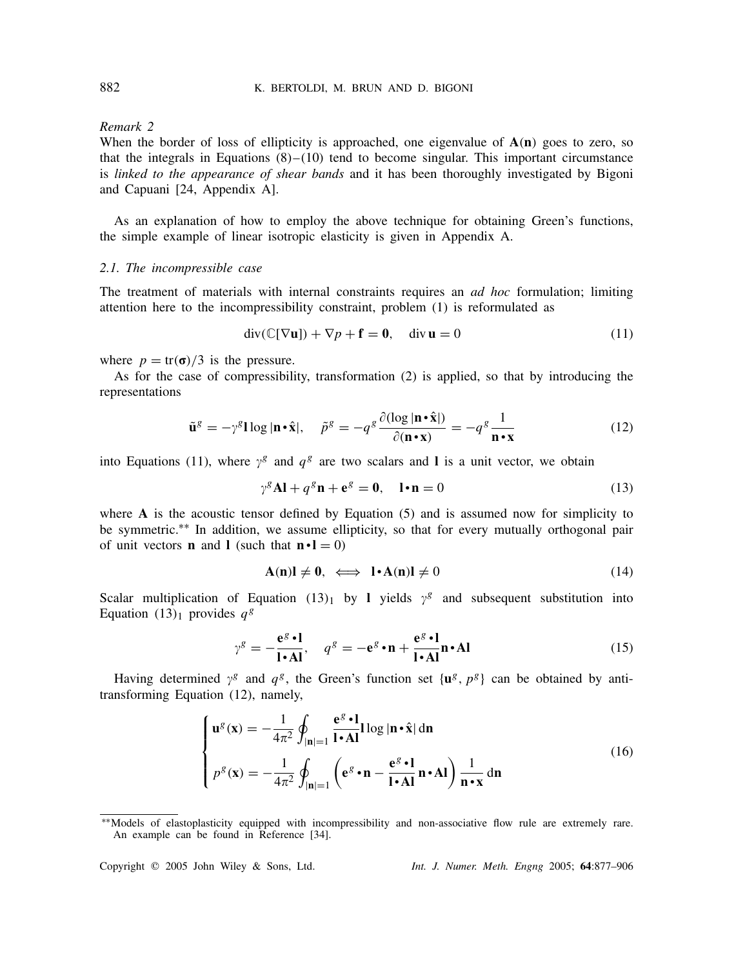## *Remark 2*

When the border of loss of ellipticity is approached, one eigenvalue of  $A(n)$  goes to zero, so that the integrals in Equations  $(8)$ – $(10)$  tend to become singular. This important circumstance is *linked to the appearance of shear bands* and it has been thoroughly investigated by Bigoni and Capuani [24, Appendix A].

As an explanation of how to employ the above technique for obtaining Green's functions, the simple example of linear isotropic elasticity is given in Appendix A.

### *2.1. The incompressible case*

The treatment of materials with internal constraints requires an *ad hoc* formulation; limiting attention here to the incompressibility constraint, problem (1) is reformulated as

$$
\operatorname{div}(\mathbb{C}[\nabla \mathbf{u}]) + \nabla p + \mathbf{f} = \mathbf{0}, \quad \operatorname{div} \mathbf{u} = 0 \tag{11}
$$

where  $p = \text{tr}(\sigma)/3$  is the pressure.

As for the case of compressibility, transformation (2) is applied, so that by introducing the representations

$$
\tilde{\mathbf{u}}^g = -\gamma^g \mathbf{I} \log |\mathbf{n} \cdot \hat{\mathbf{x}}|, \quad \tilde{p}^g = -q^g \frac{\partial (\log |\mathbf{n} \cdot \hat{\mathbf{x}}|)}{\partial (\mathbf{n} \cdot \mathbf{x})} = -q^g \frac{1}{\mathbf{n} \cdot \mathbf{x}}
$$
(12)

into Equations (11), where  $\gamma^g$  and  $q^g$  are two scalars and **l** is a unit vector, we obtain

$$
\gamma^g \mathbf{Al} + q^g \mathbf{n} + \mathbf{e}^g = \mathbf{0}, \quad \mathbf{l} \cdot \mathbf{n} = 0 \tag{13}
$$

where **A** is the acoustic tensor defined by Equation (5) and is assumed now for simplicity to be symmetric.∗∗ In addition, we assume ellipticity, so that for every mutually orthogonal pair of unit vectors **n** and **l** (such that  $\mathbf{n} \cdot \mathbf{l} = 0$ )

$$
\mathbf{A(n)}\mathbf{l} \neq \mathbf{0}, \iff \mathbf{l} \cdot \mathbf{A(n)}\mathbf{l} \neq 0 \tag{14}
$$

Scalar multiplication of Equation  $(13)_1$  by **l** yields  $\gamma^g$  and subsequent substitution into Equation  $(13)_1$  provides  $q^g$ 

$$
\gamma^g = -\frac{\mathbf{e}^g \cdot \mathbf{l}}{\mathbf{l} \cdot \mathbf{A} \mathbf{l}}, \quad q^g = -\mathbf{e}^g \cdot \mathbf{n} + \frac{\mathbf{e}^g \cdot \mathbf{l}}{\mathbf{l} \cdot \mathbf{A} \mathbf{l}} \mathbf{n} \cdot \mathbf{A} \mathbf{l}
$$
(15)

Having determined  $\gamma^g$  and  $q^g$ , the Green's function set  $\{\mathbf{u}^g, p^g\}$  can be obtained by antitransforming Equation (12), namely,

$$
\begin{cases}\n\mathbf{u}^{g}(\mathbf{x}) = -\frac{1}{4\pi^{2}} \oint_{|\mathbf{n}|=1} \frac{\mathbf{e}^{g} \cdot \mathbf{l}}{\mathbf{l} \cdot \mathbf{A} \mathbf{l}} \log |\mathbf{n} \cdot \hat{\mathbf{x}}| d\mathbf{n} \\
p^{g}(\mathbf{x}) = -\frac{1}{4\pi^{2}} \oint_{|\mathbf{n}|=1} \left( \mathbf{e}^{g} \cdot \mathbf{n} - \frac{\mathbf{e}^{g} \cdot \mathbf{l}}{\mathbf{l} \cdot \mathbf{A} \mathbf{l}} \mathbf{n} \cdot \mathbf{A} \mathbf{l} \right) \frac{1}{\mathbf{n} \cdot \mathbf{x}} d\mathbf{n}\n\end{cases}
$$
\n(16)

<sup>∗∗</sup>Models of elastoplasticity equipped with incompressibility and non-associative flow rule are extremely rare. An example can be found in Reference [34].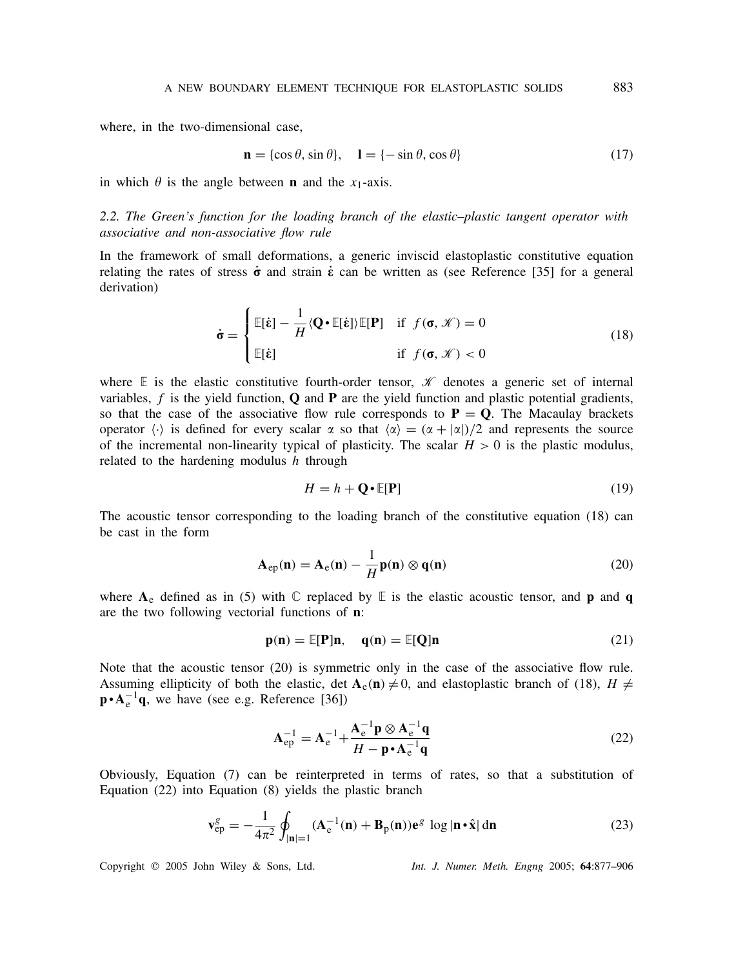where, in the two-dimensional case,

$$
\mathbf{n} = \{\cos \theta, \sin \theta\}, \quad \mathbf{l} = \{-\sin \theta, \cos \theta\} \tag{17}
$$

in which  $\theta$  is the angle between **n** and the *x*<sub>1</sub>-axis.

*2.2. The Green's function for the loading branch of the elastic–plastic tangent operator with associative and non-associative flow rule*

In the framework of small deformations, a generic inviscid elastoplastic constitutive equation relating the rates of stress  $\dot{\sigma}$  and strain  $\dot{\epsilon}$  can be written as (see Reference [35] for a general derivation)

$$
\dot{\boldsymbol{\sigma}} = \begin{cases} \mathbb{E}[\dot{\boldsymbol{\epsilon}}] - \frac{1}{H} \langle \mathbf{Q} \cdot \mathbb{E}[\dot{\boldsymbol{\epsilon}}] \rangle \mathbb{E}[\mathbf{P}] & \text{if } f(\boldsymbol{\sigma}, \mathcal{K}) = 0\\ \mathbb{E}[\dot{\boldsymbol{\epsilon}}] & \text{if } f(\boldsymbol{\sigma}, \mathcal{K}) < 0 \end{cases}
$$
(18)

where  $\mathbb E$  is the elastic constitutive fourth-order tensor,  $\mathscr K$  denotes a generic set of internal variables, *f* is the yield function, **<sup>Q</sup>** and **<sup>P</sup>** are the yield function and plastic potential gradients, so that the case of the associative flow rule corresponds to  $P = Q$ . The Macaulay brackets operator  $\langle \cdot \rangle$  is defined for every scalar  $\alpha$  so that  $\langle \alpha \rangle = (\alpha + |\alpha|)/2$  and represents the source of the incremental non-linearity typical of plasticity. The scalar  $H > 0$  is the plastic modulus, related to the hardening modulus *h* through

$$
H = h + \mathbf{Q} \cdot \mathbb{E}[\mathbf{P}] \tag{19}
$$

The acoustic tensor corresponding to the loading branch of the constitutive equation (18) can be cast in the form

$$
\mathbf{A}_{ep}(\mathbf{n}) = \mathbf{A}_e(\mathbf{n}) - \frac{1}{H}\mathbf{p}(\mathbf{n}) \otimes \mathbf{q}(\mathbf{n})
$$
 (20)

where  $A_e$  defined as in (5) with  $\mathbb C$  replaced by  $\mathbb E$  is the elastic acoustic tensor, and **p** and **q** are the two following vectorial functions of **n**:

$$
\mathbf{p}(\mathbf{n}) = \mathbb{E}[\mathbf{P}]\mathbf{n}, \quad \mathbf{q}(\mathbf{n}) = \mathbb{E}[\mathbf{Q}]\mathbf{n} \tag{21}
$$

Note that the acoustic tensor (20) is symmetric only in the case of the associative flow rule. Assuming ellipticity of both the elastic, det  $A_e(n) \neq 0$ , and elastoplastic branch of (18),  $H \neq$  $\mathbf{p} \cdot \mathbf{A}_e^{-1} \mathbf{q}$ , we have (see e.g. Reference [36])

$$
\mathbf{A}_{ep}^{-1} = \mathbf{A}_e^{-1} + \frac{\mathbf{A}_e^{-1} \mathbf{p} \otimes \mathbf{A}_e^{-1} \mathbf{q}}{H - \mathbf{p} \cdot \mathbf{A}_e^{-1} \mathbf{q}}
$$
(22)

Obviously, Equation (7) can be reinterpreted in terms of rates, so that a substitution of Equation (22) into Equation (8) yields the plastic branch

$$
\mathbf{v}_{ep}^{g} = -\frac{1}{4\pi^{2}} \oint_{|\mathbf{n}|=1} (\mathbf{A}_{e}^{-1}(\mathbf{n}) + \mathbf{B}_{p}(\mathbf{n})) \mathbf{e}^{g} \log |\mathbf{n} \cdot \hat{\mathbf{x}}| d\mathbf{n}
$$
 (23)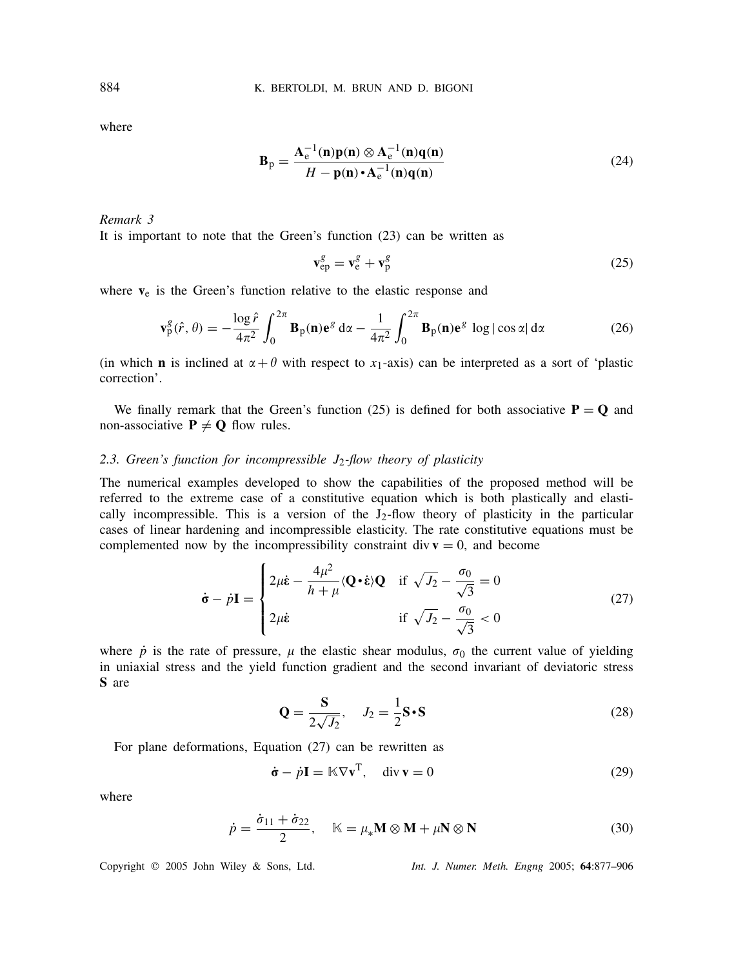where

$$
\mathbf{B}_{\mathrm{p}} = \frac{\mathbf{A}_{\mathrm{e}}^{-1}(\mathbf{n})\mathbf{p}(\mathbf{n}) \otimes \mathbf{A}_{\mathrm{e}}^{-1}(\mathbf{n})\mathbf{q}(\mathbf{n})}{H - \mathbf{p}(\mathbf{n}) \cdot \mathbf{A}_{\mathrm{e}}^{-1}(\mathbf{n})\mathbf{q}(\mathbf{n})}
$$
(24)

*Remark 3*

It is important to note that the Green's function (23) can be written as

$$
\mathbf{v}_{ep}^g = \mathbf{v}_e^g + \mathbf{v}_p^g \tag{25}
$$

where  $v_e$  is the Green's function relative to the elastic response and

$$
\mathbf{v}_{\rm p}^{\rm g}(\hat{r},\theta) = -\frac{\log \hat{r}}{4\pi^2} \int_0^{2\pi} \mathbf{B}_{\rm p}(\mathbf{n}) \mathbf{e}^{\rm g} \, \mathrm{d}\alpha - \frac{1}{4\pi^2} \int_0^{2\pi} \mathbf{B}_{\rm p}(\mathbf{n}) \mathbf{e}^{\rm g} \, \log |\cos \alpha| \, \mathrm{d}\alpha \tag{26}
$$

(in which **n** is inclined at  $\alpha + \theta$  with respect to  $x_1$ -axis) can be interpreted as a sort of 'plastic correction'.

We finally remark that the Green's function (25) is defined for both associative  $P = Q$  and non-associative  $P \neq Q$  flow rules.

#### *2.3. Green's function for incompressible <sup>J</sup>*2*-flow theory of plasticity*

The numerical examples developed to show the capabilities of the proposed method will be referred to the extreme case of a constitutive equation which is both plastically and elastically incompressible. This is a version of the  $J_2$ -flow theory of plasticity in the particular cases of linear hardening and incompressible elasticity. The rate constitutive equations must be complemented now by the incompressibility constraint div  $\mathbf{v} = 0$ , and become

$$
\dot{\boldsymbol{\sigma}} - \dot{p} \mathbf{I} = \begin{cases} 2\mu \dot{\boldsymbol{\epsilon}} - \frac{4\mu^2}{h + \mu} \langle \mathbf{Q} \cdot \dot{\boldsymbol{\epsilon}} \rangle \mathbf{Q} & \text{if } \sqrt{J_2} - \frac{\sigma_0}{\sqrt{3}} = 0 \\ 2\mu \dot{\boldsymbol{\epsilon}} & \text{if } \sqrt{J_2} - \frac{\sigma_0}{\sqrt{3}} < 0 \end{cases}
$$
(27)

where  $\dot{p}$  is the rate of pressure,  $\mu$  the elastic shear modulus,  $\sigma_0$  the current value of yielding in uniaxial stress and the yield function gradient and the second invariant of deviatoric stress **S** are

$$
\mathbf{Q} = \frac{\mathbf{S}}{2\sqrt{J_2}}, \quad J_2 = \frac{1}{2}\mathbf{S} \cdot \mathbf{S}
$$
 (28)

For plane deformations, Equation (27) can be rewritten as

$$
\dot{\boldsymbol{\sigma}} - \dot{p}\mathbf{I} = \mathbb{K}\nabla\mathbf{v}^{\mathrm{T}}, \quad \text{div}\,\mathbf{v} = 0 \tag{29}
$$

where

$$
\dot{p} = \frac{\dot{\sigma}_{11} + \dot{\sigma}_{22}}{2}, \quad \mathbb{K} = \mu_* \mathbf{M} \otimes \mathbf{M} + \mu \mathbf{N} \otimes \mathbf{N}
$$
\n(30)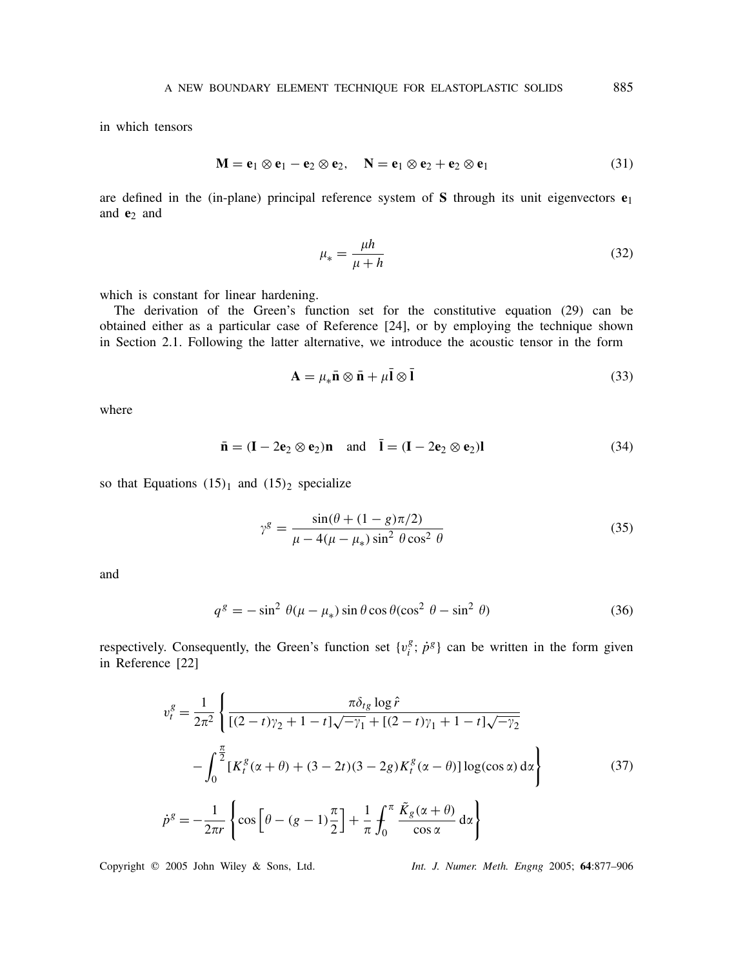in which tensors

$$
\mathbf{M} = \mathbf{e}_1 \otimes \mathbf{e}_1 - \mathbf{e}_2 \otimes \mathbf{e}_2, \quad \mathbf{N} = \mathbf{e}_1 \otimes \mathbf{e}_2 + \mathbf{e}_2 \otimes \mathbf{e}_1 \tag{31}
$$

are defined in the (in-plane) principal reference system of **S** through its unit eigenvectors **e**<sup>1</sup> and **e**<sup>2</sup> and

$$
\mu_* = \frac{\mu h}{\mu + h} \tag{32}
$$

which is constant for linear hardening.

The derivation of the Green's function set for the constitutive equation (29) can be obtained either as a particular case of Reference [24], or by employing the technique shown in Section 2.1. Following the latter alternative, we introduce the acoustic tensor in the form

$$
\mathbf{A} = \mu_* \bar{\mathbf{n}} \otimes \bar{\mathbf{n}} + \mu \bar{\mathbf{l}} \otimes \bar{\mathbf{l}} \tag{33}
$$

where

$$
\bar{\mathbf{n}} = (\mathbf{I} - 2\mathbf{e}_2 \otimes \mathbf{e}_2)\mathbf{n} \quad \text{and} \quad \bar{\mathbf{l}} = (\mathbf{I} - 2\mathbf{e}_2 \otimes \mathbf{e}_2)\mathbf{l} \tag{34}
$$

so that Equations  $(15)<sub>1</sub>$  and  $(15)<sub>2</sub>$  specialize

$$
\gamma^g = \frac{\sin(\theta + (1 - g)\pi/2)}{\mu - 4(\mu - \mu_*)\sin^2\theta\cos^2\theta}
$$
 (35)

and

$$
q^g = -\sin^2\theta(\mu - \mu_*)\sin\theta\cos\theta(\cos^2\theta - \sin^2\theta)
$$
 (36)

respectively. Consequently, the Green's function set  $\{v_i^g; \dot{p}^g\}$  can be written in the form given in Reference [22] in Reference [22]

$$
v_t^g = \frac{1}{2\pi^2} \left\{ \frac{\pi \delta_{tg} \log \hat{r}}{[(2-t)\gamma_2 + 1 - t]\sqrt{-\gamma_1} + [(2-t)\gamma_1 + 1 - t]\sqrt{-\gamma_2}} - \int_0^{\frac{\pi}{2}} [K_t^g(\alpha + \theta) + (3 - 2t)(3 - 2g)K_t^g(\alpha - \theta)] \log(\cos \alpha) d\alpha \right\}
$$
(37)  

$$
\dot{p}^g = -\frac{1}{2\pi r} \left\{ \cos \left[ \theta - (g - 1)\frac{\pi}{2} \right] + \frac{1}{\pi} \int_0^{\pi} \frac{\tilde{K}_g(\alpha + \theta)}{\cos \alpha} d\alpha \right\}
$$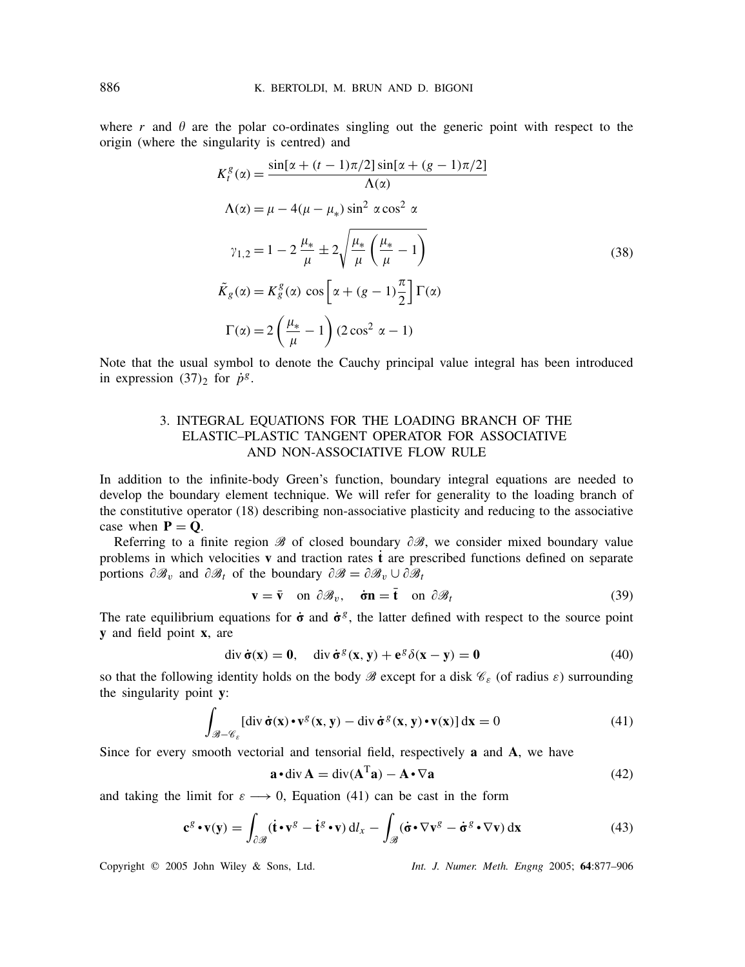where r and  $\theta$  are the polar co-ordinates singling out the generic point with respect to the origin (where the singularity is centred) and

$$
K_t^g(\alpha) = \frac{\sin[\alpha + (t-1)\pi/2] \sin[\alpha + (g-1)\pi/2]}{\Lambda(\alpha)}
$$
  
\n
$$
\Lambda(\alpha) = \mu - 4(\mu - \mu_*) \sin^2 \alpha \cos^2 \alpha
$$
  
\n
$$
\gamma_{1,2} = 1 - 2 \frac{\mu_*}{\mu} \pm 2\sqrt{\frac{\mu_*}{\mu} \left(\frac{\mu_*}{\mu} - 1\right)}
$$
  
\n
$$
\tilde{K}_g(\alpha) = K_g^g(\alpha) \cos\left[\alpha + (g-1)\frac{\pi}{2}\right] \Gamma(\alpha)
$$
  
\n
$$
\Gamma(\alpha) = 2\left(\frac{\mu_*}{\mu} - 1\right) (2 \cos^2 \alpha - 1)
$$
\n(38)

Note that the usual symbol to denote the Cauchy principal value integral has been introduced in expression  $(37)_2$  for  $\dot{p}^g$ .

# 3. INTEGRAL EQUATIONS FOR THE LOADING BRANCH OF THE ELASTIC–PLASTIC TANGENT OPERATOR FOR ASSOCIATIVE AND NON-ASSOCIATIVE FLOW RULE

In addition to the infinite-body Green's function, boundary integral equations are needed to develop the boundary element technique. We will refer for generality to the loading branch of the constitutive operator (18) describing non-associative plasticity and reducing to the associative case when  $P = Q$ .

Referring to a finite region  $\mathscr B$  of closed boundary  $\partial \mathscr B$ , we consider mixed boundary value problems in which velocities **v** and traction rates  $\mathbf{\dot{t}}$  are prescribed functions defined on separate portions  $\partial \mathscr{B}_v$  and  $\partial \mathscr{B}_t$  of the boundary  $\partial \mathscr{B} = \partial \mathscr{B}_v \cup \partial \mathscr{B}_t$ 

$$
\mathbf{v} = \bar{\mathbf{v}} \quad \text{on } \partial \mathcal{B}_v, \quad \dot{\mathbf{v}} \mathbf{n} = \bar{\mathbf{t}} \quad \text{on } \partial \mathcal{B}_t \tag{39}
$$

The rate equilibrium equations for  $\dot{\sigma}$  and  $\dot{\sigma}^g$ , the latter defined with respect to the source point **y** and field point **x**, are

$$
\operatorname{div} \dot{\boldsymbol{\sigma}}(\mathbf{x}) = \mathbf{0}, \quad \operatorname{div} \dot{\boldsymbol{\sigma}}^g(\mathbf{x}, \mathbf{y}) + \mathbf{e}^g \delta(\mathbf{x} - \mathbf{y}) = \mathbf{0}
$$
(40)

so that the following identity holds on the body  $\mathscr B$  except for a disk  $\mathscr C_\varepsilon$  (of radius  $\varepsilon$ ) surrounding the singularity point **y**:

$$
\int_{\mathscr{B} - \mathscr{C}_{\varepsilon}} \left[ \operatorname{div} \dot{\sigma}(x) \cdot v^g(x, y) - \operatorname{div} \dot{\sigma}^g(x, y) \cdot v(x) \right] dx = 0 \tag{41}
$$

Since for every smooth vectorial and tensorial field, respectively **a** and **A**, we have

$$
\mathbf{a} \cdot \operatorname{div} \mathbf{A} = \operatorname{div} (\mathbf{A}^{\mathrm{T}} \mathbf{a}) - \mathbf{A} \cdot \nabla \mathbf{a}
$$
 (42)

and taking the limit for  $\varepsilon \longrightarrow 0$ , Equation (41) can be cast in the form

$$
\mathbf{c}^{g} \cdot \mathbf{v}(\mathbf{y}) = \int_{\partial \mathscr{B}} (\dot{\mathbf{t}} \cdot \mathbf{v}^{g} - \dot{\mathbf{t}}^{g} \cdot \mathbf{v}) \, \mathrm{d}l_{x} - \int_{\mathscr{B}} (\dot{\mathbf{\sigma}} \cdot \nabla \mathbf{v}^{g} - \dot{\mathbf{\sigma}}^{g} \cdot \nabla \mathbf{v}) \, \mathrm{d}\mathbf{x}
$$
(43)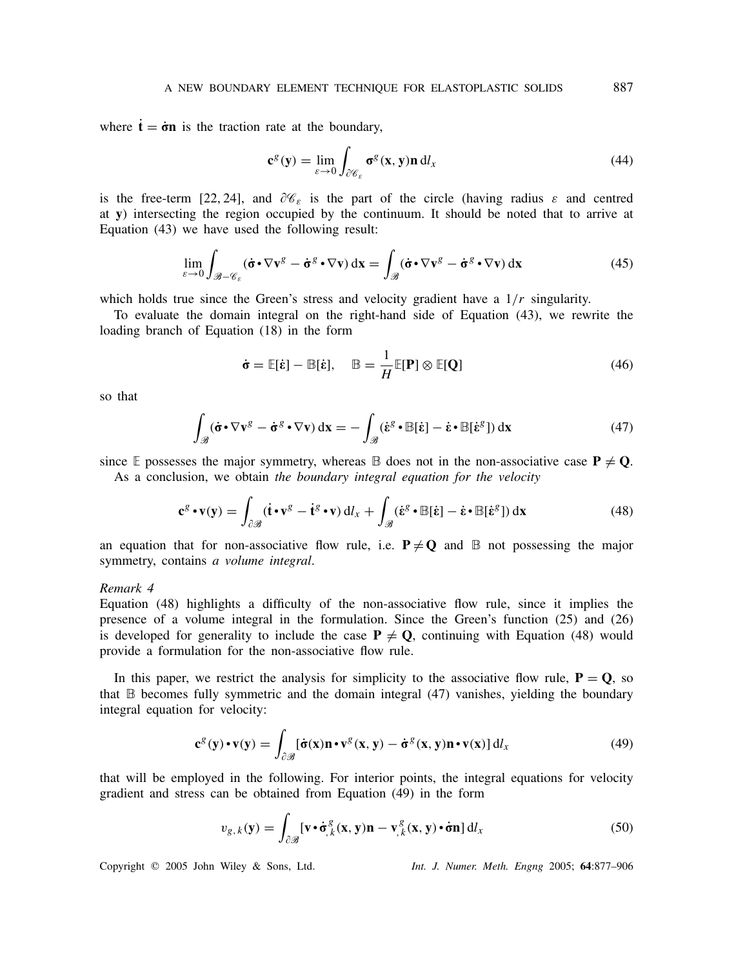where  $\dot{\mathbf{t}} = \dot{\boldsymbol{\sigma}} \mathbf{n}$  is the traction rate at the boundary,

$$
\mathbf{c}^{g}(\mathbf{y}) = \lim_{\varepsilon \to 0} \int_{\partial \mathscr{C}_{\varepsilon}} \mathbf{\sigma}^{g}(\mathbf{x}, \mathbf{y}) \mathbf{n} \, \mathrm{d}l_{x}
$$
(44)

is the free-term [22, 24], and  $\partial \mathscr{C}_{\varepsilon}$  is the part of the circle (having radius  $\varepsilon$  and centred at **y**) intersecting the region occupied by the continuum. It should be noted that to arrive at Equation (43) we have used the following result:

$$
\lim_{\varepsilon \to 0} \int_{\mathscr{B} - \mathscr{C}_{\varepsilon}} (\dot{\sigma} \cdot \nabla v^g - \dot{\sigma}^g \cdot \nabla v) dx = \int_{\mathscr{B}} (\dot{\sigma} \cdot \nabla v^g - \dot{\sigma}^g \cdot \nabla v) dx
$$
\n(45)

which holds true since the Green's stress and velocity gradient have a  $1/r$  singularity.

To evaluate the domain integral on the right-hand side of Equation (43), we rewrite the loading branch of Equation (18) in the form

$$
\dot{\boldsymbol{\sigma}} = \mathbb{E}[\dot{\boldsymbol{\epsilon}}] - \mathbb{B}[\dot{\boldsymbol{\epsilon}}], \quad \mathbb{B} = \frac{1}{H} \mathbb{E}[\mathbf{P}] \otimes \mathbb{E}[\mathbf{Q}] \tag{46}
$$

so that

$$
\int_{\mathscr{B}} (\dot{\boldsymbol{\sigma}} \cdot \nabla \mathbf{v}^{g} - \dot{\boldsymbol{\sigma}}^{g} \cdot \nabla \mathbf{v}) \, \mathrm{d}\mathbf{x} = -\int_{\mathscr{B}} (\dot{\boldsymbol{\epsilon}}^{g} \cdot \mathbb{B}[\dot{\boldsymbol{\epsilon}}] - \dot{\boldsymbol{\epsilon}} \cdot \mathbb{B}[\dot{\boldsymbol{\epsilon}}^{g}]) \, \mathrm{d}\mathbf{x}
$$
\n(47)

since  $\mathbb{E}$  possesses the major symmetry, whereas  $\mathbb{B}$  does not in the non-associative case  $P \neq Q$ .

As a conclusion, we obtain *the boundary integral equation for the velocity*

$$
\mathbf{c}^{g} \cdot \mathbf{v}(\mathbf{y}) = \int_{\partial \mathcal{B}} (\dot{\mathbf{t}} \cdot \mathbf{v}^{g} - \dot{\mathbf{t}}^{g} \cdot \mathbf{v}) \, \mathrm{d}l_{x} + \int_{\mathcal{B}} (\dot{\mathbf{\varepsilon}}^{g} \cdot \mathbb{B}[\dot{\mathbf{\varepsilon}}] - \dot{\mathbf{\varepsilon}} \cdot \mathbb{B}[\dot{\mathbf{\varepsilon}}^{g}]) \, \mathrm{d}\mathbf{x}
$$
(48)

an equation that for non-associative flow rule, i.e.  $P \neq O$  and  $\mathbb{B}$  not possessing the major symmetry, contains *a volume integral*.

## *Remark 4*

Equation (48) highlights a difficulty of the non-associative flow rule, since it implies the presence of a volume integral in the formulation. Since the Green's function (25) and (26) is developed for generality to include the case  $P \neq Q$ , continuing with Equation (48) would provide a formulation for the non-associative flow rule.

In this paper, we restrict the analysis for simplicity to the associative flow rule,  $P = Q$ , so that  $\mathbb B$  becomes fully symmetric and the domain integral (47) vanishes, yielding the boundary integral equation for velocity:

$$
\mathbf{c}^{g}(\mathbf{y}) \cdot \mathbf{v}(\mathbf{y}) = \int_{\partial \mathcal{B}} [\dot{\boldsymbol{\sigma}}(\mathbf{x}) \mathbf{n} \cdot \mathbf{v}^{g}(\mathbf{x}, \mathbf{y}) - \dot{\boldsymbol{\sigma}}^{g}(\mathbf{x}, \mathbf{y}) \mathbf{n} \cdot \mathbf{v}(\mathbf{x})] d l_{x}
$$
(49)

that will be employed in the following. For interior points, the integral equations for velocity gradient and stress can be obtained from Equation (49) in the form

$$
v_{g,k}(\mathbf{y}) = \int_{\partial \mathcal{B}} [\mathbf{v} \cdot \dot{\sigma}_{,k}^{g}(\mathbf{x}, \mathbf{y}) \mathbf{n} - \mathbf{v}_{,k}^{g}(\mathbf{x}, \mathbf{y}) \cdot \dot{\sigma} \mathbf{n}] \,dI_{x}
$$
(50)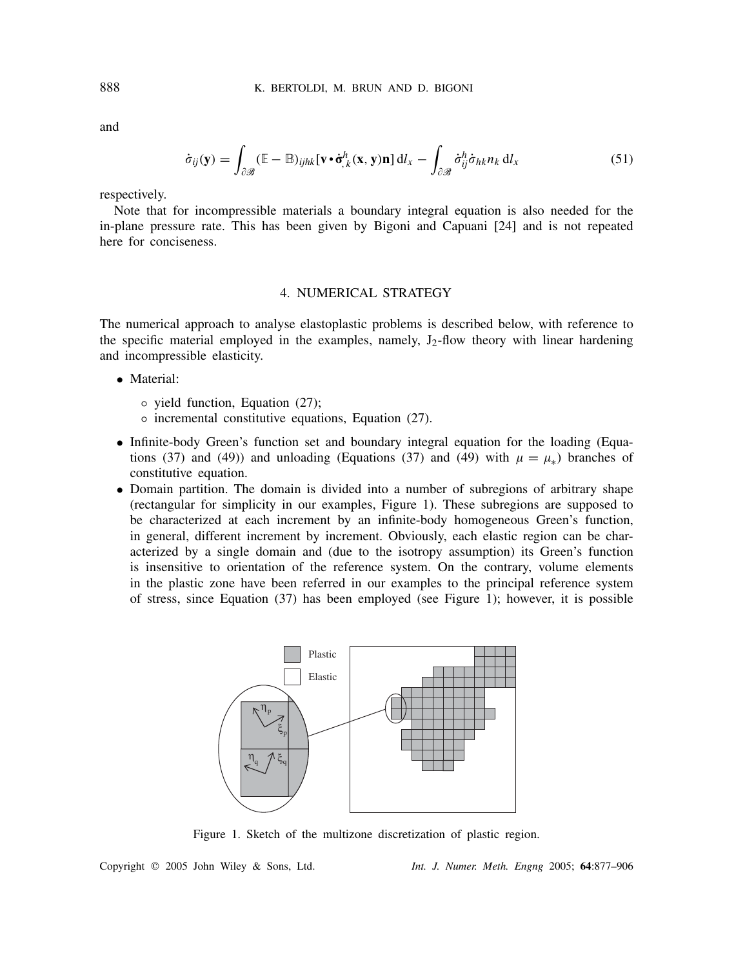$$
\dot{\sigma}_{ij}(\mathbf{y}) = \int_{\partial \mathcal{B}} (\mathbb{E} - \mathbb{B})_{ijhk} [\mathbf{v} \cdot \dot{\sigma}_{,k}^h(\mathbf{x}, \mathbf{y}) \mathbf{n}] \, \mathrm{d}l_x - \int_{\partial \mathcal{B}} \dot{\sigma}_{ij}^h \dot{\sigma}_{hk} n_k \, \mathrm{d}l_x \tag{51}
$$

respectively.

Note that for incompressible materials a boundary integral equation is also needed for the in-plane pressure rate. This has been given by Bigoni and Capuani [24] and is not repeated here for conciseness.

## 4. NUMERICAL STRATEGY

The numerical approach to analyse elastoplastic problems is described below, with reference to the specific material employed in the examples, namely,  $J_2$ -flow theory with linear hardening and incompressible elasticity.

- Material:
	- yield function, Equation (27);
	- incremental constitutive equations, Equation (27).
- Infinite-body Green's function set and boundary integral equation for the loading (Equations (37) and (49)) and unloading (Equations (37) and (49) with  $\mu = \mu_{*}$ ) branches of constitutive equation.
- Domain partition. The domain is divided into a number of subregions of arbitrary shape (rectangular for simplicity in our examples, Figure 1). These subregions are supposed to be characterized at each increment by an infinite-body homogeneous Green's function, in general, different increment by increment. Obviously, each elastic region can be characterized by a single domain and (due to the isotropy assumption) its Green's function is insensitive to orientation of the reference system. On the contrary, volume elements in the plastic zone have been referred in our examples to the principal reference system of stress, since Equation (37) has been employed (see Figure 1); however, it is possible



Figure 1. Sketch of the multizone discretization of plastic region.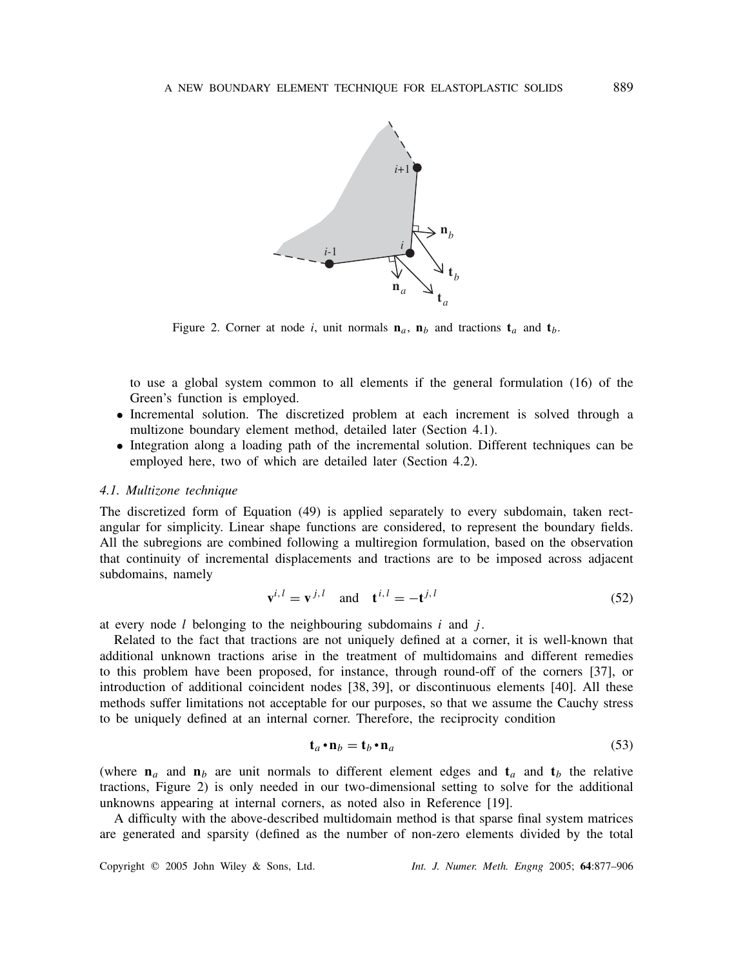

Figure 2. Corner at node *i*, unit normals  $\mathbf{n}_a$ ,  $\mathbf{n}_b$  and tractions  $\mathbf{t}_a$  and  $\mathbf{t}_b$ .

to use a global system common to all elements if the general formulation (16) of the Green's function is employed.

- Incremental solution. The discretized problem at each increment is solved through a multizone boundary element method, detailed later (Section 4.1).
- Integration along a loading path of the incremental solution. Different techniques can be employed here, two of which are detailed later (Section 4.2).

### *4.1. Multizone technique*

The discretized form of Equation (49) is applied separately to every subdomain, taken rectangular for simplicity. Linear shape functions are considered, to represent the boundary fields. All the subregions are combined following a multiregion formulation, based on the observation that continuity of incremental displacements and tractions are to be imposed across adjacent subdomains, namely

$$
\mathbf{v}^{i,l} = \mathbf{v}^{j,l} \quad \text{and} \quad \mathbf{t}^{i,l} = -\mathbf{t}^{j,l} \tag{52}
$$

at every node *l* belonging to the neighbouring subdomains *i* and *j* .

Related to the fact that tractions are not uniquely defined at a corner, it is well-known that additional unknown tractions arise in the treatment of multidomains and different remedies to this problem have been proposed, for instance, through round-off of the corners [37], or introduction of additional coincident nodes [38, 39], or discontinuous elements [40]. All these methods suffer limitations not acceptable for our purposes, so that we assume the Cauchy stress to be uniquely defined at an internal corner. Therefore, the reciprocity condition

$$
\mathbf{t}_a \cdot \mathbf{n}_b = \mathbf{t}_b \cdot \mathbf{n}_a \tag{53}
$$

(where  $n_a$  and  $n_b$  are unit normals to different element edges and  $t_a$  and  $t_b$  the relative tractions, Figure 2) is only needed in our two-dimensional setting to solve for the additional unknowns appearing at internal corners, as noted also in Reference [19].

A difficulty with the above-described multidomain method is that sparse final system matrices are generated and sparsity (defined as the number of non-zero elements divided by the total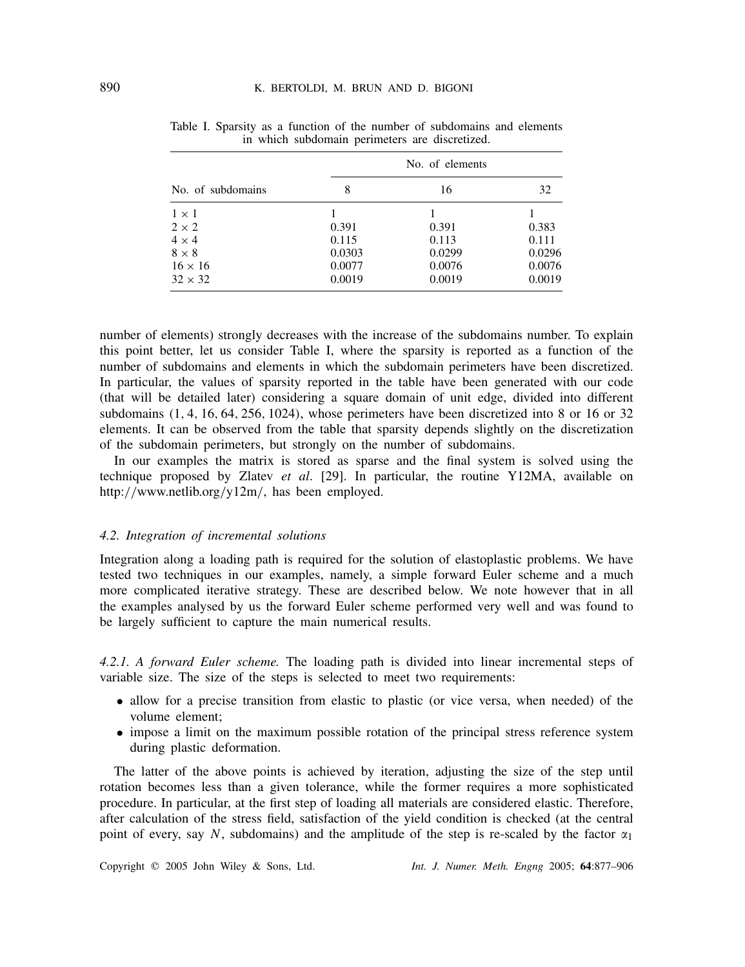| No. of subdomains | No. of elements |        |        |
|-------------------|-----------------|--------|--------|
|                   | 8               | 16     | 32     |
| $1 \times 1$      |                 |        |        |
| $2 \times 2$      | 0.391           | 0.391  | 0.383  |
| $4 \times 4$      | 0.115           | 0.113  | 0.111  |
| $8 \times 8$      | 0.0303          | 0.0299 | 0.0296 |
| $16 \times 16$    | 0.0077          | 0.0076 | 0.0076 |
| $32 \times 32$    | 0.0019          | 0.0019 | 0.0019 |

Table I. Sparsity as a function of the number of subdomains and elements in which subdomain perimeters are discretized.

number of elements) strongly decreases with the increase of the subdomains number. To explain this point better, let us consider Table I, where the sparsity is reported as a function of the number of subdomains and elements in which the subdomain perimeters have been discretized. In particular, the values of sparsity reported in the table have been generated with our code (that will be detailed later) considering a square domain of unit edge, divided into different subdomains *(*1*,* <sup>4</sup>*,* <sup>16</sup>*,* <sup>64</sup>*,* <sup>256</sup>*,* <sup>1024</sup>*)*, whose perimeters have been discretized into 8 or 16 or 32 elements. It can be observed from the table that sparsity depends slightly on the discretization of the subdomain perimeters, but strongly on the number of subdomains.

In our examples the matrix is stored as sparse and the final system is solved using the technique proposed by Zlatev *et al*. [29]. In particular, the routine Y12MA, available on http:*//*www.netlib.org*/*y12m*/*, has been employed.

## *4.2. Integration of incremental solutions*

Integration along a loading path is required for the solution of elastoplastic problems. We have tested two techniques in our examples, namely, a simple forward Euler scheme and a much more complicated iterative strategy. These are described below. We note however that in all the examples analysed by us the forward Euler scheme performed very well and was found to be largely sufficient to capture the main numerical results.

*4.2.1. A forward Euler scheme.* The loading path is divided into linear incremental steps of variable size. The size of the steps is selected to meet two requirements:

- allow for a precise transition from elastic to plastic (or vice versa, when needed) of the volume element;
- impose a limit on the maximum possible rotation of the principal stress reference system during plastic deformation.

The latter of the above points is achieved by iteration, adjusting the size of the step until rotation becomes less than a given tolerance, while the former requires a more sophisticated procedure. In particular, at the first step of loading all materials are considered elastic. Therefore, after calculation of the stress field, satisfaction of the yield condition is checked (at the central point of every, say N, subdomains) and the amplitude of the step is re-scaled by the factor  $\alpha_1$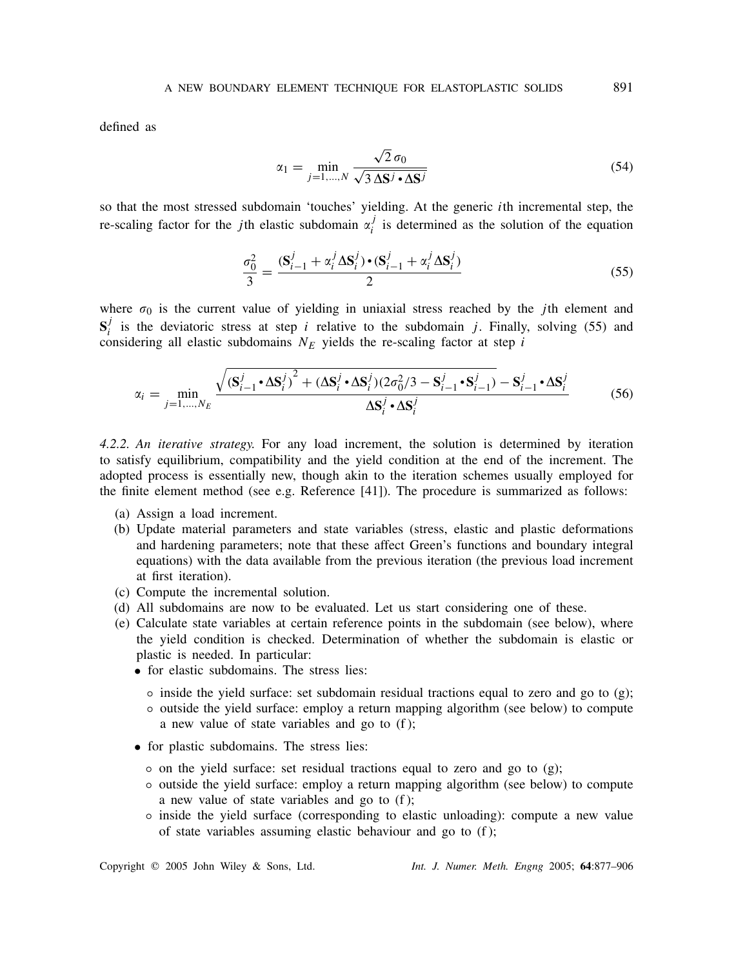defined as

$$
\alpha_1 = \min_{j=1,\dots,N} \frac{\sqrt{2} \,\sigma_0}{\sqrt{3 \,\Delta S^j \cdot \Delta S^j}}
$$
\n(54)

so that the most stressed subdomain 'touches' yielding. At the generic *i*th incremental step, the re-scaling factor for the *j*th elastic subdomain  $\alpha_i^j$  is determined as the solution of the equation

$$
\frac{\sigma_0^2}{3} = \frac{(\mathbf{S}_{i-1}^j + \alpha_i^j \Delta \mathbf{S}_i^j) \cdot (\mathbf{S}_{i-1}^j + \alpha_i^j \Delta \mathbf{S}_i^j)}{2}
$$
(55)

where  $\sigma_0$  is the current value of yielding in uniaxial stress reached by the *j*th element and  $S_i^j$  is the deviatoric stress at step *i* relative to the subdomain *j*. Finally, solving (55) and considering all elastic subdomains  $N_F$  vields the re-scaling factor at step *i* considering all elastic subdomains  $N_E$  yields the re-scaling factor at step  $i$ 

$$
\alpha_i = \min_{j=1,\dots,N_E} \frac{\sqrt{(S_{i-1}^j \cdot \Delta S_i^j)^2 + (\Delta S_i^j \cdot \Delta S_i^j)(2\sigma_0^2/3 - S_{i-1}^j \cdot S_{i-1}^j)} - S_{i-1}^j \cdot \Delta S_i^j}{\Delta S_i^j \cdot \Delta S_i^j}
$$
(56)

*4.2.2. An iterative strategy.* For any load increment, the solution is determined by iteration to satisfy equilibrium, compatibility and the yield condition at the end of the increment. The adopted process is essentially new, though akin to the iteration schemes usually employed for the finite element method (see e.g. Reference [41]). The procedure is summarized as follows:

- (a) Assign a load increment.
- (b) Update material parameters and state variables (stress, elastic and plastic deformations and hardening parameters; note that these affect Green's functions and boundary integral equations) with the data available from the previous iteration (the previous load increment at first iteration).
- (c) Compute the incremental solution.
- (d) All subdomains are now to be evaluated. Let us start considering one of these.
- (e) Calculate state variables at certain reference points in the subdomain (see below), where the yield condition is checked. Determination of whether the subdomain is elastic or plastic is needed. In particular:
	- for elastic subdomains. The stress lies:
		- inside the yield surface: set subdomain residual tractions equal to zero and go to (g);
		- outside the yield surface: employ a return mapping algorithm (see below) to compute a new value of state variables and go to (f );
	- for plastic subdomains. The stress lies:
		- on the yield surface: set residual tractions equal to zero and go to (g);
		- outside the yield surface: employ a return mapping algorithm (see below) to compute a new value of state variables and go to (f );
		- inside the yield surface (corresponding to elastic unloading): compute a new value of state variables assuming elastic behaviour and go to (f );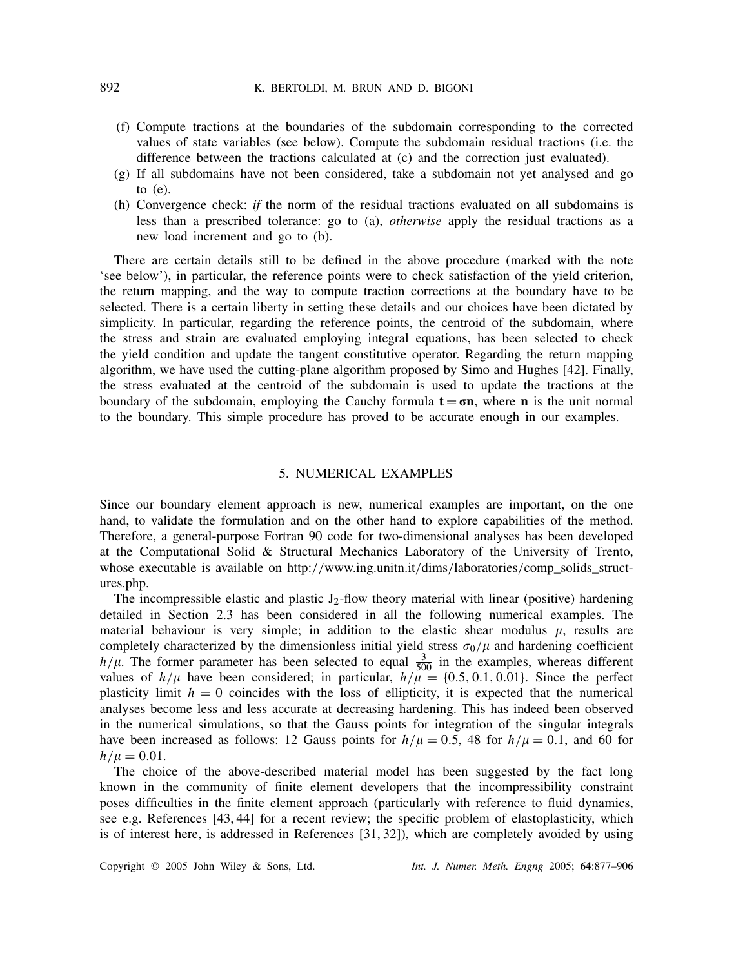- (f) Compute tractions at the boundaries of the subdomain corresponding to the corrected values of state variables (see below). Compute the subdomain residual tractions (i.e. the difference between the tractions calculated at (c) and the correction just evaluated).
- (g) If all subdomains have not been considered, take a subdomain not yet analysed and go to (e).
- (h) Convergence check: *if* the norm of the residual tractions evaluated on all subdomains is less than a prescribed tolerance: go to (a), *otherwise* apply the residual tractions as a new load increment and go to (b).

There are certain details still to be defined in the above procedure (marked with the note 'see below'), in particular, the reference points were to check satisfaction of the yield criterion, the return mapping, and the way to compute traction corrections at the boundary have to be selected. There is a certain liberty in setting these details and our choices have been dictated by simplicity. In particular, regarding the reference points, the centroid of the subdomain, where the stress and strain are evaluated employing integral equations, has been selected to check the yield condition and update the tangent constitutive operator. Regarding the return mapping algorithm, we have used the cutting-plane algorithm proposed by Simo and Hughes [42]. Finally, the stress evaluated at the centroid of the subdomain is used to update the tractions at the boundary of the subdomain, employing the Cauchy formula  $t = \sigma n$ , where *n* is the unit normal to the boundary. This simple procedure has proved to be accurate enough in our examples.

#### 5. NUMERICAL EXAMPLES

Since our boundary element approach is new, numerical examples are important, on the one hand, to validate the formulation and on the other hand to explore capabilities of the method. Therefore, a general-purpose Fortran 90 code for two-dimensional analyses has been developed at the Computational Solid & Structural Mechanics Laboratory of the University of Trento, whose executable is available on http:*//*www.ing.unitn.it*/*dims*/*laboratories*/*comp\_solids\_structures.php.

The incompressible elastic and plastic  $J_2$ -flow theory material with linear (positive) hardening detailed in Section 2.3 has been considered in all the following numerical examples. The material behaviour is very simple; in addition to the elastic shear modulus  $\mu$ , results are completely characterized by the dimensionless initial yield stress  $\sigma_0/\mu$  and hardening coefficient  $h/\mu$ . The former parameter has been selected to equal  $\frac{3}{500}$  in the examples, whereas different values of  $h/\mu$  have been considered; in particular  $h/\mu = 0.5, 0.1, 0.01$ . Since the perfect values of  $h/\mu$  have been considered; in particular,  $h/\mu = \{0.5, 0.1, 0.01\}$ . Since the perfect plasticity limit  $h = 0$  coincides with the loss of ellipticity, it is expected that the numerical analyses become less and less accurate at decreasing hardening. This has indeed been observed in the numerical simulations, so that the Gauss points for integration of the singular integrals have been increased as follows: 12 Gauss points for  $h/\mu = 0.5$ , 48 for  $h/\mu = 0.1$ , and 60 for  $h/\mu = 0.01$ .

The choice of the above-described material model has been suggested by the fact long known in the community of finite element developers that the incompressibility constraint poses difficulties in the finite element approach (particularly with reference to fluid dynamics, see e.g. References [43, 44] for a recent review; the specific problem of elastoplasticity, which is of interest here, is addressed in References [31, 32]), which are completely avoided by using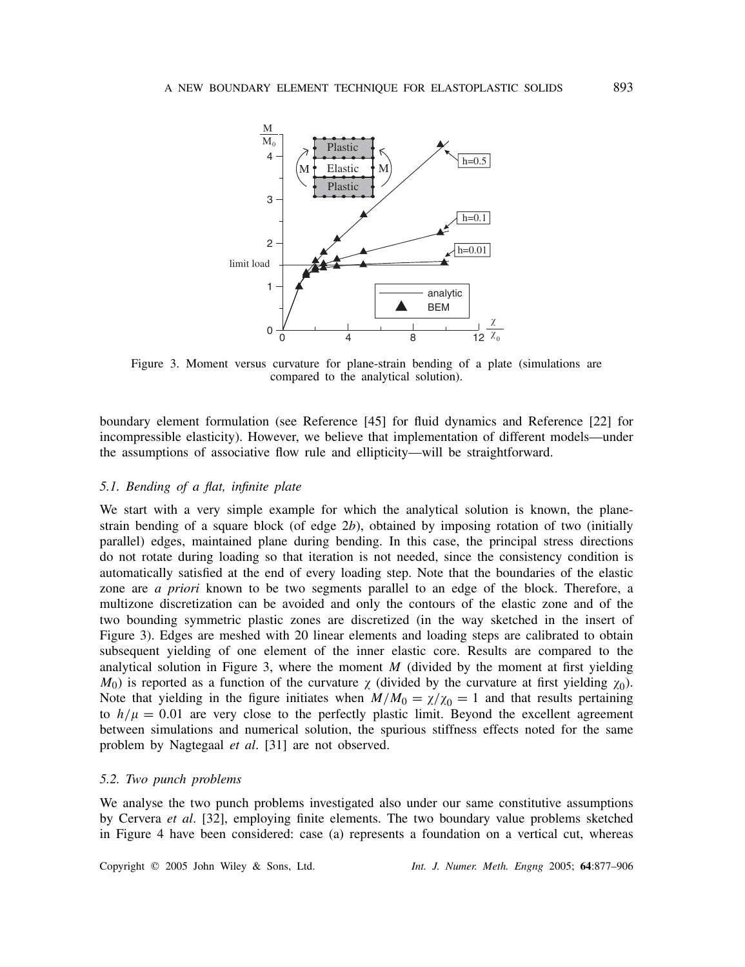

Figure 3. Moment versus curvature for plane-strain bending of a plate (simulations are compared to the analytical solution).

boundary element formulation (see Reference [45] for fluid dynamics and Reference [22] for incompressible elasticity). However, we believe that implementation of different models—under the assumptions of associative flow rule and ellipticity—will be straightforward.

## *5.1. Bending of a flat, infinite plate*

We start with a very simple example for which the analytical solution is known, the planestrain bending of a square block (of edge 2*b*), obtained by imposing rotation of two (initially parallel) edges, maintained plane during bending. In this case, the principal stress directions do not rotate during loading so that iteration is not needed, since the consistency condition is automatically satisfied at the end of every loading step. Note that the boundaries of the elastic zone are *a priori* known to be two segments parallel to an edge of the block. Therefore, a multizone discretization can be avoided and only the contours of the elastic zone and of the two bounding symmetric plastic zones are discretized (in the way sketched in the insert of Figure 3). Edges are meshed with 20 linear elements and loading steps are calibrated to obtain subsequent yielding of one element of the inner elastic core. Results are compared to the analytical solution in Figure 3, where the moment  $M$  (divided by the moment at first yielding  $M_0$ ) is reported as a function of the curvature  $\chi$  (divided by the curvature at first yielding  $\chi_0$ ). Note that yielding in the figure initiates when  $M/M_0 = \chi/\chi_0 = 1$  and that results pertaining to  $h/\mu = 0.01$  are very close to the perfectly plastic limit. Beyond the excellent agreement between simulations and numerical solution, the spurious stiffness effects noted for the same problem by Nagtegaal *et al*. [31] are not observed.

## *5.2. Two punch problems*

We analyse the two punch problems investigated also under our same constitutive assumptions by Cervera *et al*. [32], employing finite elements. The two boundary value problems sketched in Figure 4 have been considered: case (a) represents a foundation on a vertical cut, whereas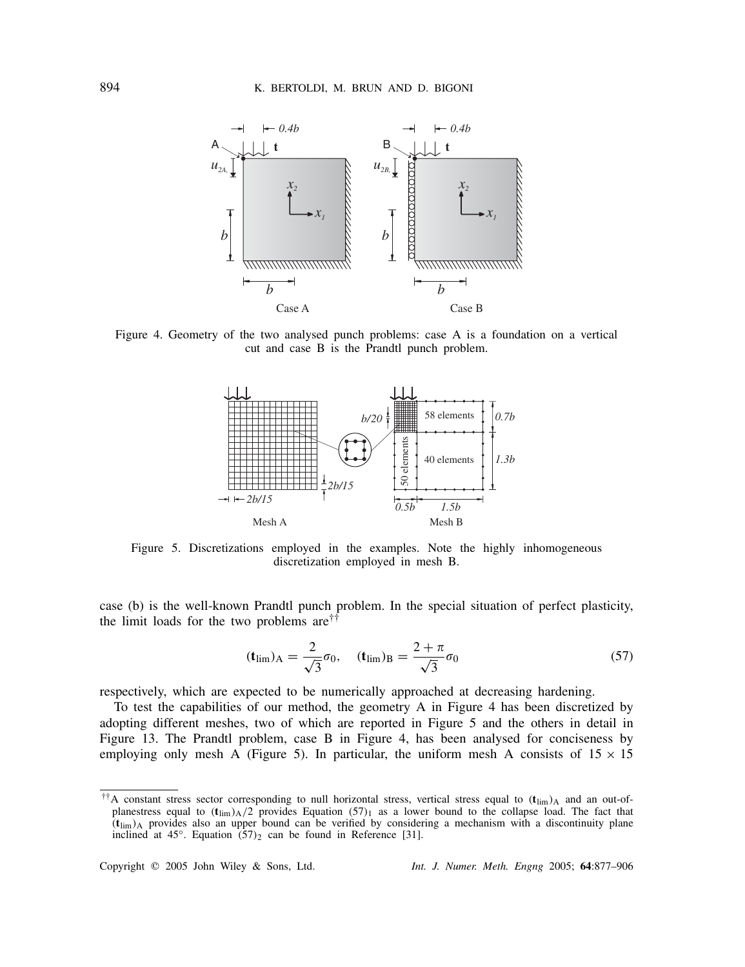

Figure 4. Geometry of the two analysed punch problems: case A is a foundation on a vertical cut and case B is the Prandtl punch problem.



Figure 5. Discretizations employed in the examples. Note the highly inhomogeneous discretization employed in mesh B.

case (b) is the well-known Prandtl punch problem. In the special situation of perfect plasticity, the limit loads for the two problems are††

$$
(\mathbf{t}_{\lim})_A = \frac{2}{\sqrt{3}} \sigma_0, \quad (\mathbf{t}_{\lim})_B = \frac{2 + \pi}{\sqrt{3}} \sigma_0 \tag{57}
$$

respectively, which are expected to be numerically approached at decreasing hardening.

To test the capabilities of our method, the geometry A in Figure 4 has been discretized by adopting different meshes, two of which are reported in Figure 5 and the others in detail in Figure 13. The Prandtl problem, case B in Figure 4, has been analysed for conciseness by employing only mesh A (Figure 5). In particular, the uniform mesh A consists of  $15 \times 15$ 

<sup>&</sup>lt;sup>††</sup>A constant stress sector corresponding to null horizontal stress, vertical stress equal to  $(t_{lim})$ A and an out-of-<br>planestress equal to  $(t_{lim})$ A/2 provides Equation (57)<sub>1</sub> as a lower bound to the collapse load. The fac planestress equal to  $(\mathbf{t}_{\text{lim}})_{A}/2$  provides Equation (57)<sub>1</sub> as a lower bound to the collapse load. The fact that  $(\mathbf{t}_{\text{lim}})_{A}$  provides also an upper bound can be verified by considering a mechanism with a disco  $(t_{\text{lim}})$ A provides also an upper bound can be verified by considering a mechanism with a discontinuity plane inclined at  $45^{\circ}$ . Equation  $(57)$  can be found in Reference [31]. inclined at  $45^\circ$ . Equation  $(57)_2$  can be found in Reference [31].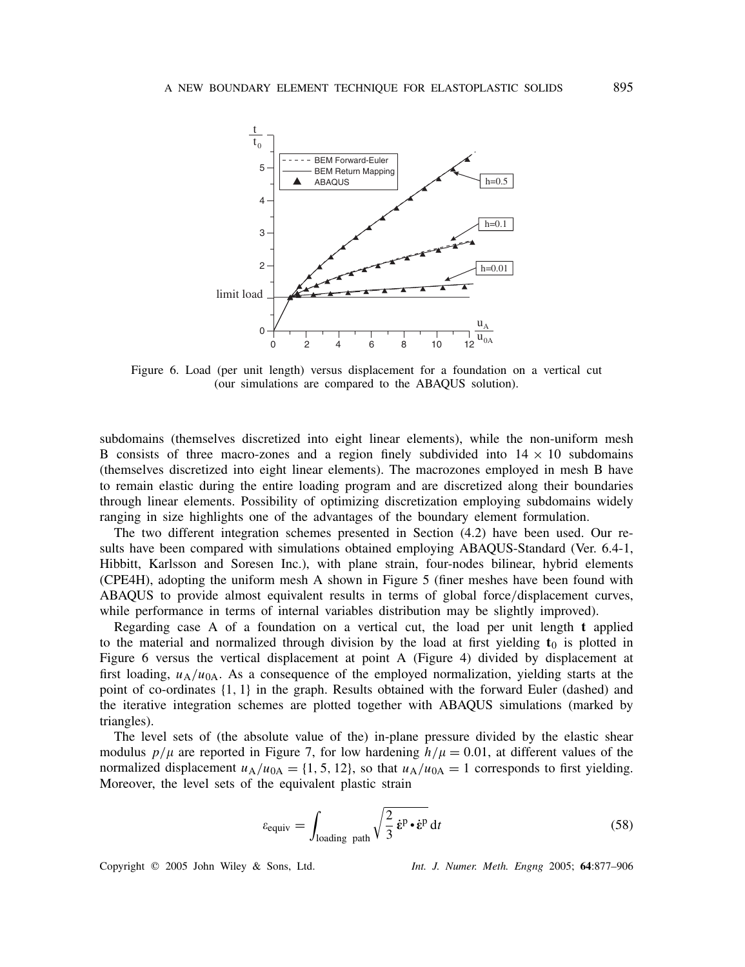

Figure 6. Load (per unit length) versus displacement for a foundation on a vertical cut (our simulations are compared to the ABAQUS solution).

subdomains (themselves discretized into eight linear elements), while the non-uniform mesh B consists of three macro-zones and a region finely subdivided into  $14 \times 10$  subdomains (themselves discretized into eight linear elements). The macrozones employed in mesh B have to remain elastic during the entire loading program and are discretized along their boundaries through linear elements. Possibility of optimizing discretization employing subdomains widely ranging in size highlights one of the advantages of the boundary element formulation.

The two different integration schemes presented in Section (4.2) have been used. Our results have been compared with simulations obtained employing ABAQUS-Standard (Ver. 6.4-1, Hibbitt, Karlsson and Soresen Inc.), with plane strain, four-nodes bilinear, hybrid elements (CPE4H), adopting the uniform mesh A shown in Figure 5 (finer meshes have been found with ABAQUS to provide almost equivalent results in terms of global force*/*displacement curves, while performance in terms of internal variables distribution may be slightly improved).

Regarding case A of a foundation on a vertical cut, the load per unit length **t** applied to the material and normalized through division by the load at first yielding  $t_0$  is plotted in Figure 6 versus the vertical displacement at point A (Figure 4) divided by displacement at first loading,  $u_A/u_{0A}$ . As a consequence of the employed normalization, yielding starts at the point of co-ordinates {1*,* <sup>1</sup>} in the graph. Results obtained with the forward Euler (dashed) and the iterative integration schemes are plotted together with ABAQUS simulations (marked by triangles).

The level sets of (the absolute value of the) in-plane pressure divided by the elastic shear modulus  $p/\mu$  are reported in Figure 7, for low hardening  $h/\mu = 0.01$ , at different values of the normalized displacement  $u_A/u_{0A} = \{1, 5, 12\}$ , so that  $u_A/u_{0A} = 1$  corresponds to first yielding. Moreover, the level sets of the equivalent plastic strain

$$
\varepsilon_{\text{equiv}} = \int_{\text{loading path}} \sqrt{\frac{2}{3}} \dot{\boldsymbol{\varepsilon}}^{\text{p}} \cdot \dot{\boldsymbol{\varepsilon}}^{\text{p}} \, \mathrm{d}t \tag{58}
$$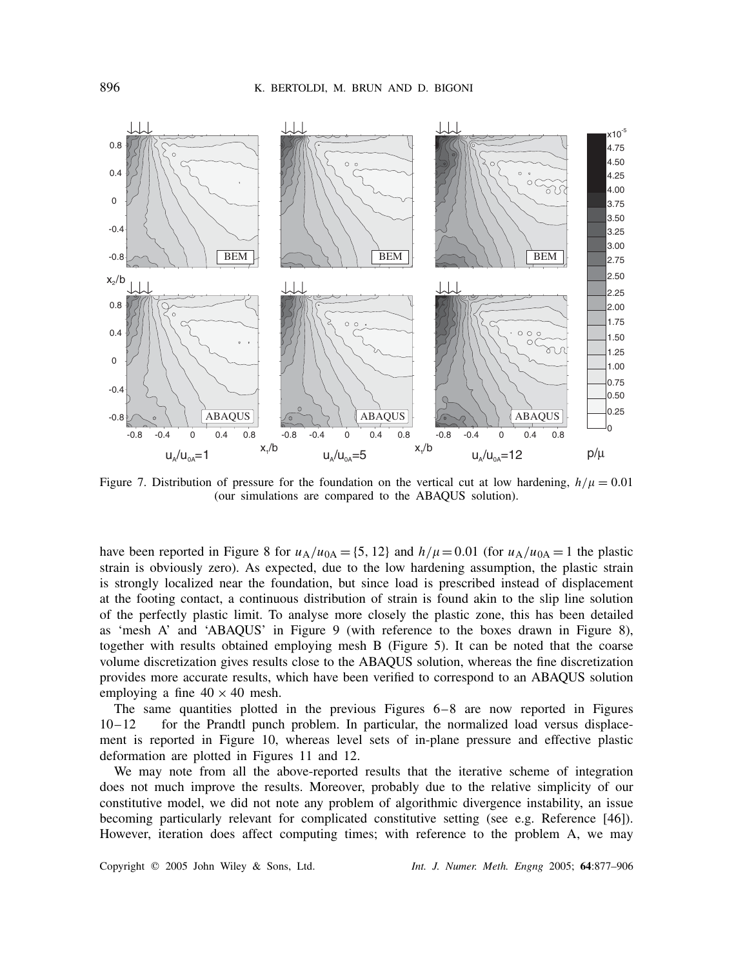

Figure 7. Distribution of pressure for the foundation on the vertical cut at low hardening,  $h/\mu = 0.01$ (our simulations are compared to the ABAQUS solution).

have been reported in Figure 8 for  $u_A/u_{0A} = \{5, 12\}$  and  $h/\mu = 0.01$  (for  $u_A/u_{0A} = 1$  the plastic strain is obviously zero). As expected, due to the low hardening assumption, the plastic strain is strongly localized near the foundation, but since load is prescribed instead of displacement at the footing contact, a continuous distribution of strain is found akin to the slip line solution of the perfectly plastic limit. To analyse more closely the plastic zone, this has been detailed as 'mesh A' and 'ABAQUS' in Figure 9 (with reference to the boxes drawn in Figure 8), together with results obtained employing mesh B (Figure 5). It can be noted that the coarse volume discretization gives results close to the ABAQUS solution, whereas the fine discretization provides more accurate results, which have been verified to correspond to an ABAQUS solution employing a fine  $40 \times 40$  mesh.

The same quantities plotted in the previous Figures 6–8 are now reported in Figures 10–12 for the Prandtl punch problem. In particular, the normalized load versus displacement is reported in Figure 10, whereas level sets of in-plane pressure and effective plastic deformation are plotted in Figures 11 and 12.

We may note from all the above-reported results that the iterative scheme of integration does not much improve the results. Moreover, probably due to the relative simplicity of our constitutive model, we did not note any problem of algorithmic divergence instability, an issue becoming particularly relevant for complicated constitutive setting (see e.g. Reference [46]). However, iteration does affect computing times; with reference to the problem A, we may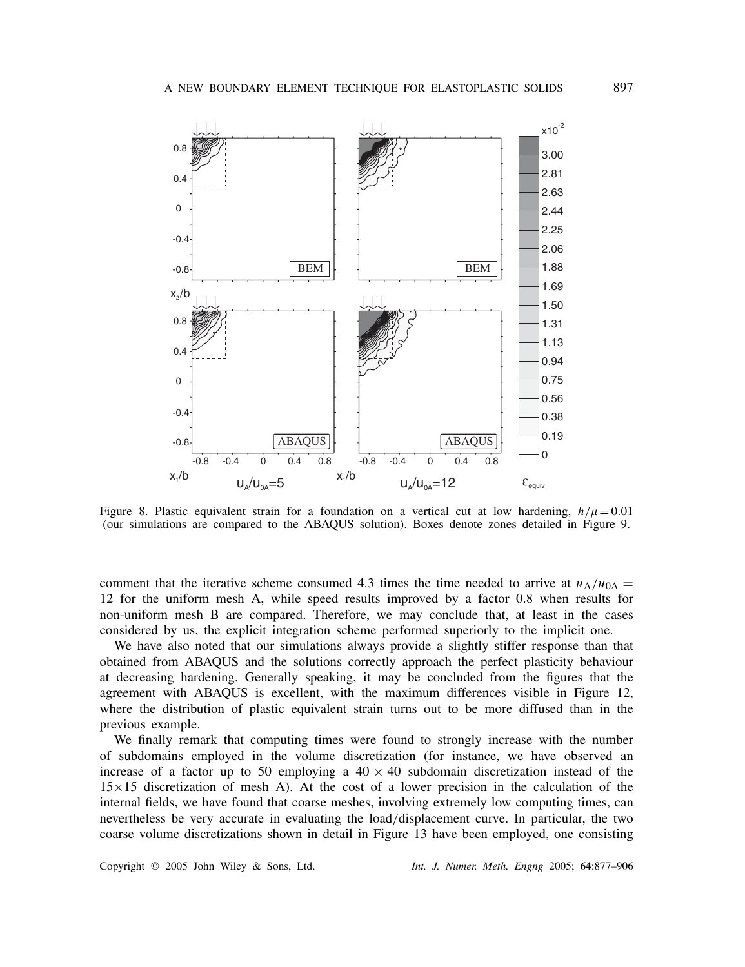

Figure 8. Plastic equivalent strain for a foundation on a vertical cut at low hardening,  $h/\mu = 0.01$ (our simulations are compared to the ABAQUS solution). Boxes denote zones detailed in Figure 9.

comment that the iterative scheme consumed 4.3 times the time needed to arrive at  $u_A/u_{0A} =$ 12 for the uniform mesh A, while speed results improved by a factor 0.8 when results for non-uniform mesh B are compared. Therefore, we may conclude that, at least in the cases considered by us, the explicit integration scheme performed superiorly to the implicit one.

We have also noted that our simulations always provide a slightly stiffer response than that obtained from ABAQUS and the solutions correctly approach the perfect plasticity behaviour at decreasing hardening. Generally speaking, it may be concluded from the figures that the agreement with ABAQUS is excellent, with the maximum differences visible in Figure 12, where the distribution of plastic equivalent strain turns out to be more diffused than in the previous example.

We finally remark that computing times were found to strongly increase with the number of subdomains employed in the volume discretization (for instance, we have observed an increase of a factor up to 50 employing a  $40 \times 40$  subdomain discretization instead of the  $15\times15$  discretization of mesh A). At the cost of a lower precision in the calculation of the internal fields, we have found that coarse meshes, involving extremely low computing times, can nevertheless be very accurate in evaluating the load*/*displacement curve. In particular, the two coarse volume discretizations shown in detail in Figure 13 have been employed, one consisting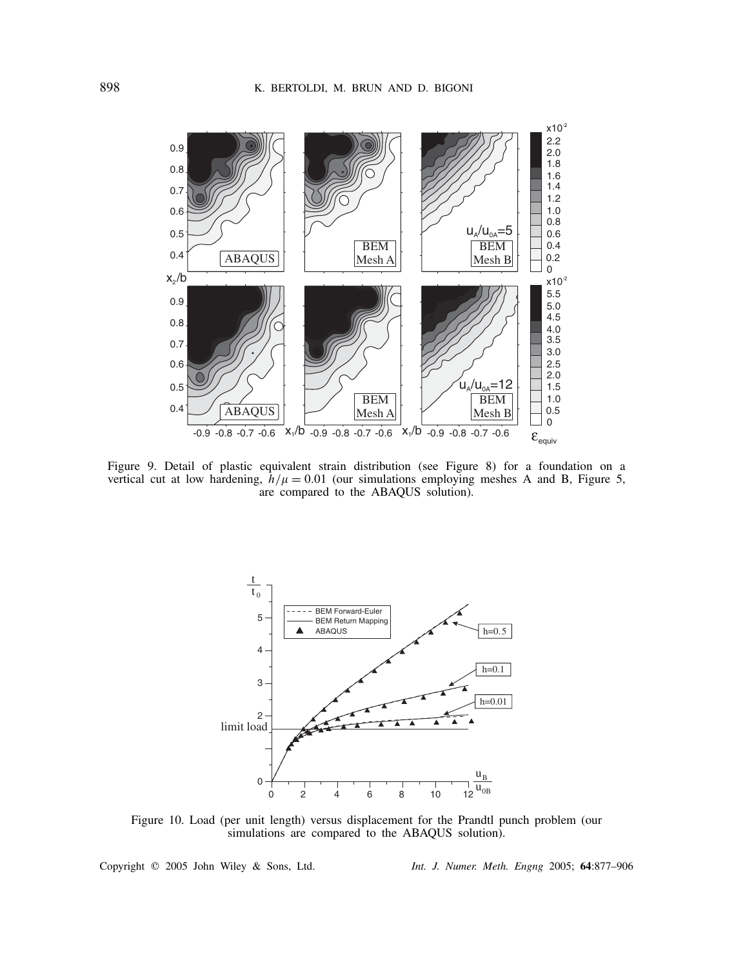

Figure 9. Detail of plastic equivalent strain distribution (see Figure 8) for a foundation on a vertical cut at low hardening,  $h/\mu = 0.01$  (our simulations employing meshes A and B, Figure 5, are compared to the ABAQUS solution).



Figure 10. Load (per unit length) versus displacement for the Prandtl punch problem (our simulations are compared to the ABAQUS solution).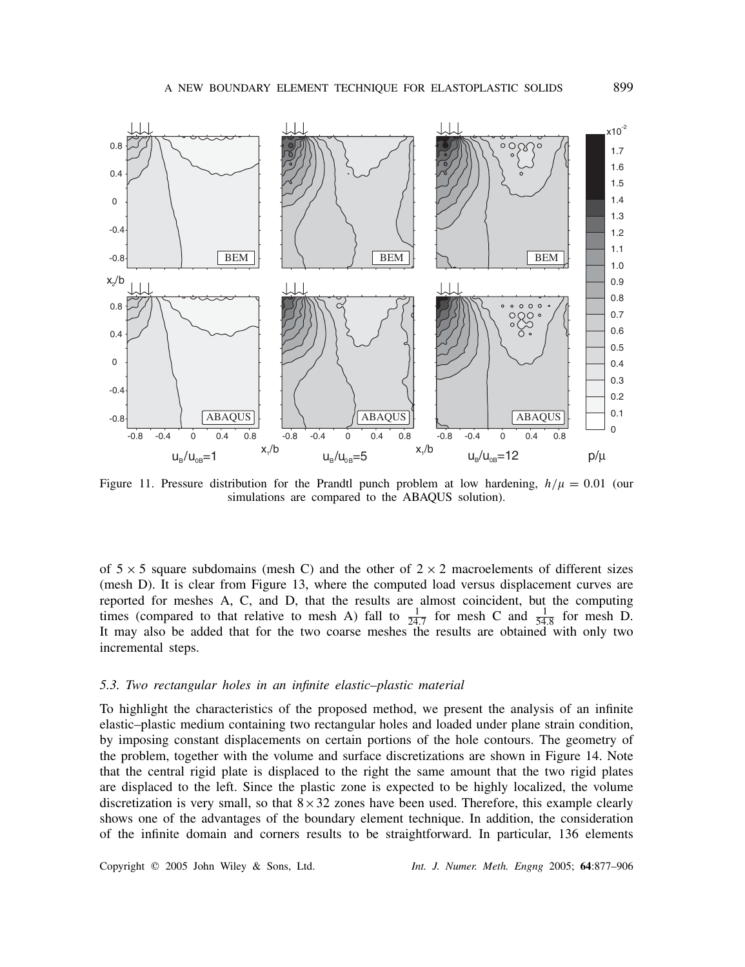

Figure 11. Pressure distribution for the Prandtl punch problem at low hardening,  $h/\mu = 0.01$  (our simulations are compared to the ABAQUS solution).

of  $5 \times 5$  square subdomains (mesh C) and the other of  $2 \times 2$  macroelements of different sizes (mesh D). It is clear from Figure 13, where the computed load versus displacement curves are reported for meshes A, C, and D, that the results are almost coincident, but the computing times (compared to that relative to mesh A) fall to  $\frac{1}{24.7}$  for mesh C and  $\frac{1}{54.8}$  for mesh D.<br>It may also be added that for the two coarse meshes the results are obtained with only two It may also be added that for the two coarse meshes the results are obtained with only two incremental steps.

#### *5.3. Two rectangular holes in an infinite elastic–plastic material*

To highlight the characteristics of the proposed method, we present the analysis of an infinite elastic–plastic medium containing two rectangular holes and loaded under plane strain condition, by imposing constant displacements on certain portions of the hole contours. The geometry of the problem, together with the volume and surface discretizations are shown in Figure 14. Note that the central rigid plate is displaced to the right the same amount that the two rigid plates are displaced to the left. Since the plastic zone is expected to be highly localized, the volume discretization is very small, so that  $8 \times 32$  zones have been used. Therefore, this example clearly shows one of the advantages of the boundary element technique. In addition, the consideration of the infinite domain and corners results to be straightforward. In particular, 136 elements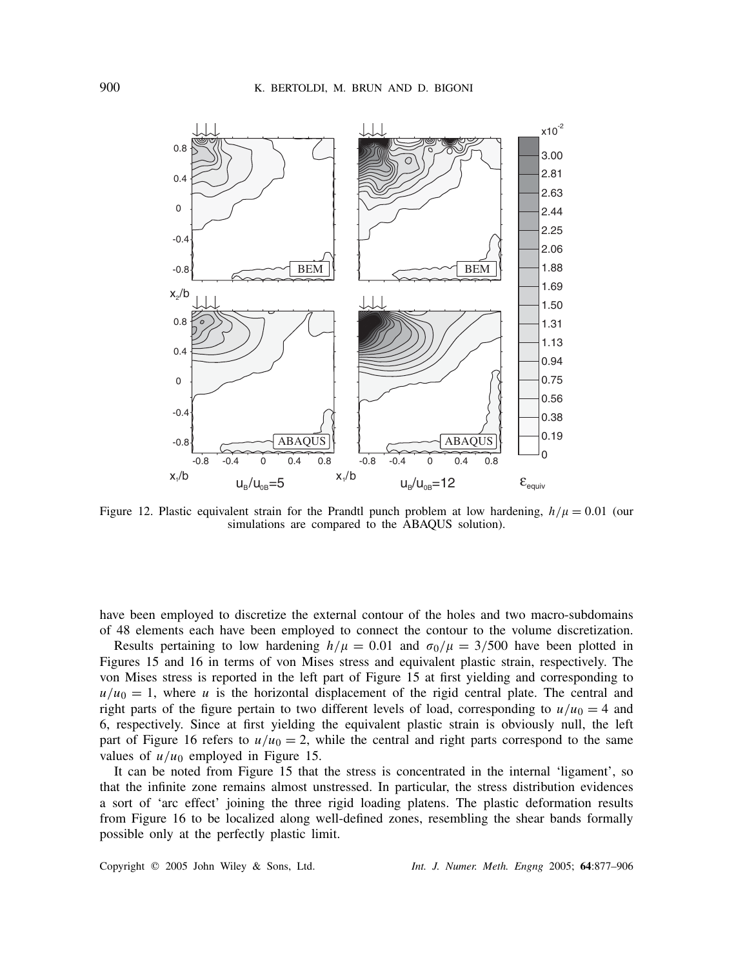

Figure 12. Plastic equivalent strain for the Prandtl punch problem at low hardening,  $h/\mu = 0.01$  (our simulations are compared to the ABAQUS solution).

have been employed to discretize the external contour of the holes and two macro-subdomains of 48 elements each have been employed to connect the contour to the volume discretization.

Results pertaining to low hardening  $h/\mu = 0.01$  and  $\sigma_0/\mu = 3/500$  have been plotted in Figures 15 and 16 in terms of von Mises stress and equivalent plastic strain, respectively. The von Mises stress is reported in the left part of Figure 15 at first yielding and corresponding to  $u/u_0 = 1$ , where *u* is the horizontal displacement of the rigid central plate. The central and right parts of the figure pertain to two different levels of load, corresponding to  $u/u_0 = 4$  and 6, respectively. Since at first yielding the equivalent plastic strain is obviously null, the left part of Figure 16 refers to  $u/u_0 = 2$ , while the central and right parts correspond to the same values of  $u/u_0$  employed in Figure 15.

It can be noted from Figure 15 that the stress is concentrated in the internal 'ligament', so that the infinite zone remains almost unstressed. In particular, the stress distribution evidences a sort of 'arc effect' joining the three rigid loading platens. The plastic deformation results from Figure 16 to be localized along well-defined zones, resembling the shear bands formally possible only at the perfectly plastic limit.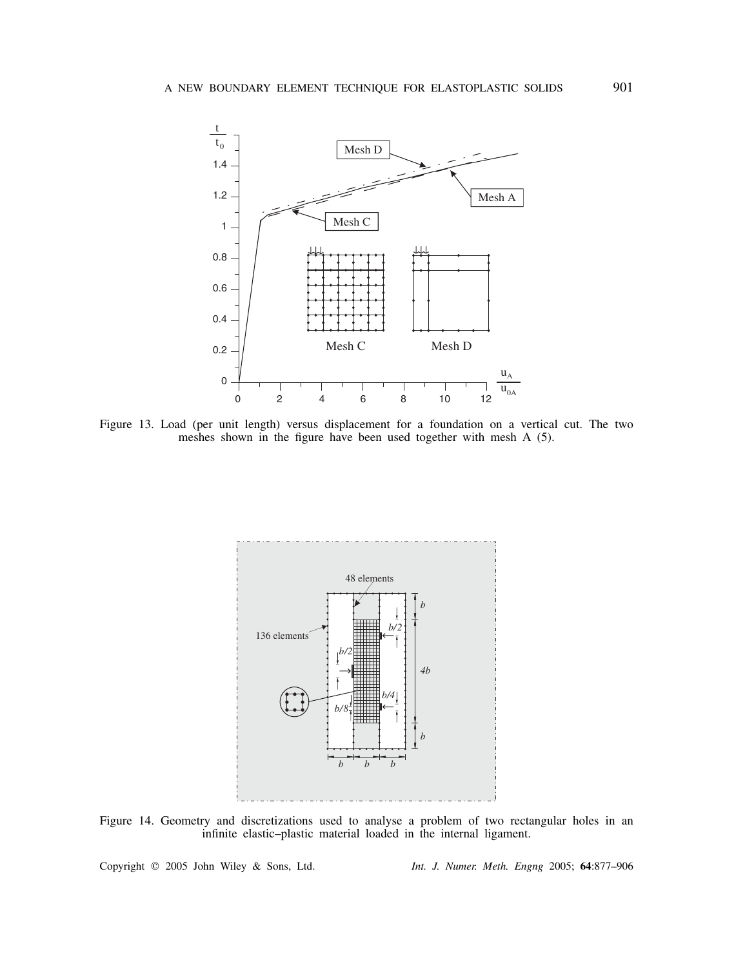

Figure 13. Load (per unit length) versus displacement for a foundation on a vertical cut. The two meshes shown in the figure have been used together with mesh A (5).



Figure 14. Geometry and discretizations used to analyse a problem of two rectangular holes in an infinite elastic–plastic material loaded in the internal ligament.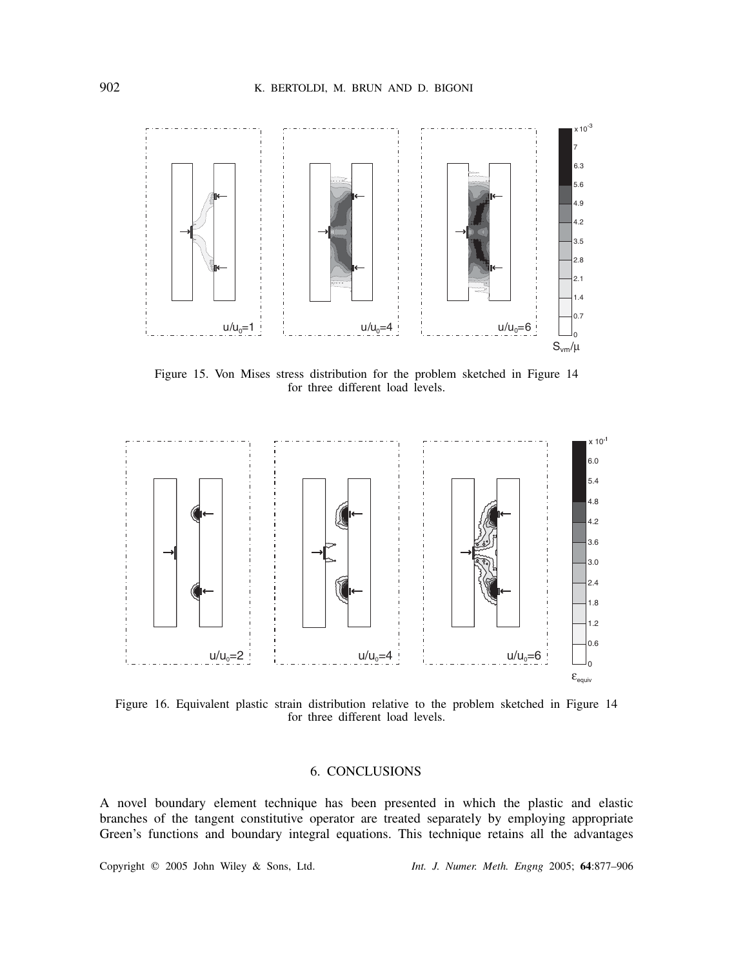

Figure 15. Von Mises stress distribution for the problem sketched in Figure 14 for three different load levels.



Figure 16. Equivalent plastic strain distribution relative to the problem sketched in Figure 14 for three different load levels.

## 6. CONCLUSIONS

A novel boundary element technique has been presented in which the plastic and elastic branches of the tangent constitutive operator are treated separately by employing appropriate Green's functions and boundary integral equations. This technique retains all the advantages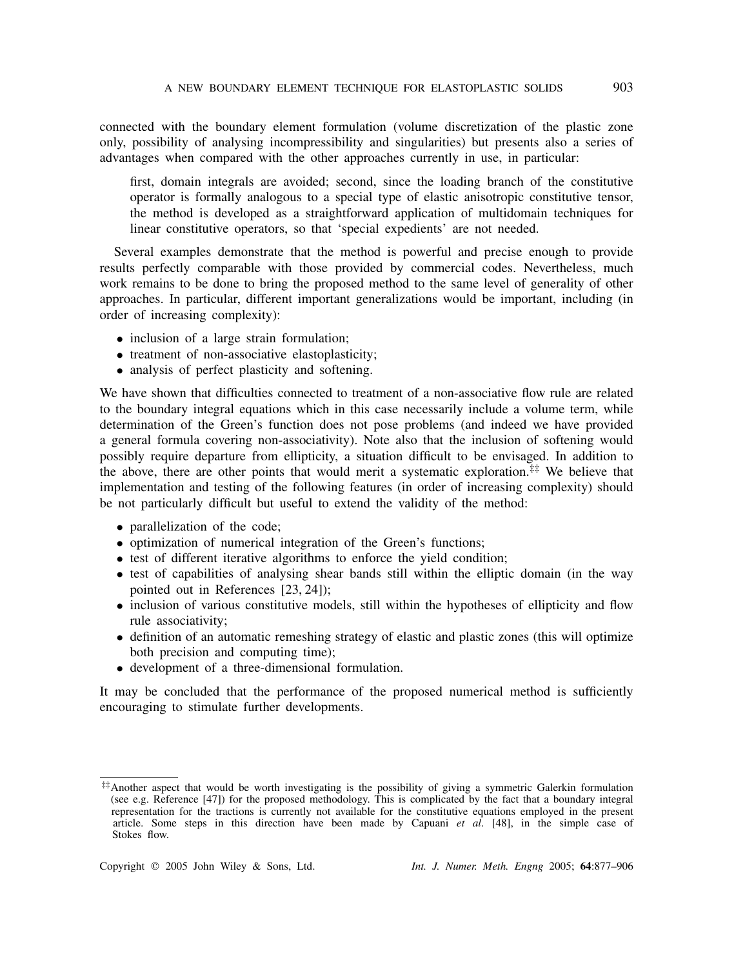connected with the boundary element formulation (volume discretization of the plastic zone only, possibility of analysing incompressibility and singularities) but presents also a series of advantages when compared with the other approaches currently in use, in particular:

first, domain integrals are avoided; second, since the loading branch of the constitutive operator is formally analogous to a special type of elastic anisotropic constitutive tensor, the method is developed as a straightforward application of multidomain techniques for linear constitutive operators, so that 'special expedients' are not needed.

Several examples demonstrate that the method is powerful and precise enough to provide results perfectly comparable with those provided by commercial codes. Nevertheless, much work remains to be done to bring the proposed method to the same level of generality of other approaches. In particular, different important generalizations would be important, including (in order of increasing complexity):

- inclusion of a large strain formulation;
- treatment of non-associative elastoplasticity;
- analysis of perfect plasticity and softening.

We have shown that difficulties connected to treatment of a non-associative flow rule are related to the boundary integral equations which in this case necessarily include a volume term, while determination of the Green's function does not pose problems (and indeed we have provided a general formula covering non-associativity). Note also that the inclusion of softening would possibly require departure from ellipticity, a situation difficult to be envisaged. In addition to the above, there are other points that would merit a systematic exploration.<sup> $\ddagger\ddagger$ </sup> We believe that implementation and testing of the following features (in order of increasing complexity) should be not particularly difficult but useful to extend the validity of the method:

- parallelization of the code;
- optimization of numerical integration of the Green's functions;
- test of different iterative algorithms to enforce the yield condition;
- test of capabilities of analysing shear bands still within the elliptic domain (in the way pointed out in References [23, 24]);
- inclusion of various constitutive models, still within the hypotheses of ellipticity and flow rule associativity;
- definition of an automatic remeshing strategy of elastic and plastic zones (this will optimize both precision and computing time);
- development of a three-dimensional formulation.

It may be concluded that the performance of the proposed numerical method is sufficiently encouraging to stimulate further developments.

<sup>‡‡</sup>Another aspect that would be worth investigating is the possibility of giving a symmetric Galerkin formulation (see e.g. Reference [47]) for the proposed methodology. This is complicated by the fact that a boundary integral representation for the tractions is currently not available for the constitutive equations employed in the present article. Some steps in this direction have been made by Capuani *et al*. [48], in the simple case of Stokes flow.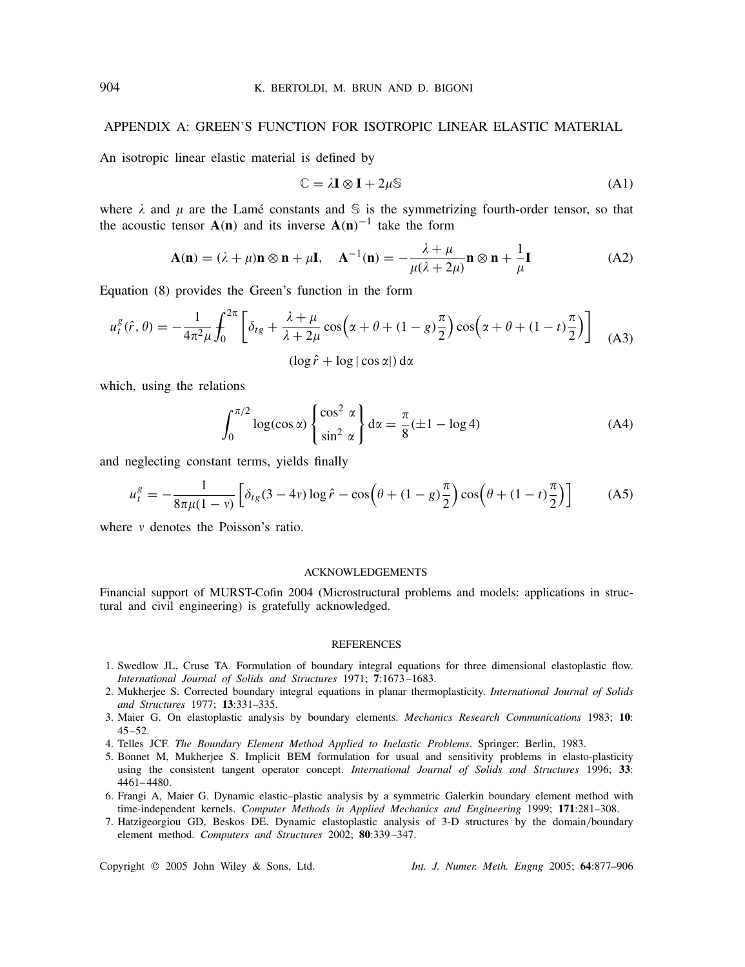## APPENDIX A: GREEN'S FUNCTION FOR ISOTROPIC LINEAR ELASTIC MATERIAL

An isotropic linear elastic material is defined by

$$
\mathbb{C} = \lambda \mathbf{I} \otimes \mathbf{I} + 2\mu \mathbb{S} \tag{A1}
$$

where  $\lambda$  and  $\mu$  are the Lamé constants and S is the symmetrizing fourth-order tensor, so that the acoustic tensor  $\mathbf{A}(\mathbf{n})$  and its inverse  $\mathbf{A}(\mathbf{n})^{-1}$  take the form

$$
\mathbf{A}(\mathbf{n}) = (\lambda + \mu)\mathbf{n} \otimes \mathbf{n} + \mu \mathbf{I}, \quad \mathbf{A}^{-1}(\mathbf{n}) = -\frac{\lambda + \mu}{\mu(\lambda + 2\mu)} \mathbf{n} \otimes \mathbf{n} + \frac{1}{\mu} \mathbf{I}
$$
(A2)

Equation (8) provides the Green's function in the form

$$
u_t^g(\hat{r}, \theta) = -\frac{1}{4\pi^2 \mu} \int_0^{2\pi} \left[ \delta_{tg} + \frac{\lambda + \mu}{\lambda + 2\mu} \cos\left(\alpha + \theta + (1 - g)\frac{\pi}{2}\right) \cos\left(\alpha + \theta + (1 - t)\frac{\pi}{2}\right) \right]
$$
(A3)  
(log  $\hat{r}$  + log | cos  $\alpha$ |) d $\alpha$ 

which, using the relations

$$
\int_0^{\pi/2} \log(\cos \alpha) \left\{ \frac{\cos^2 \alpha}{\sin^2 \alpha} \right\} d\alpha = \frac{\pi}{8} (\pm 1 - \log 4)
$$
 (A4)

and neglecting constant terms, yields finally

$$
u_t^g = -\frac{1}{8\pi\mu(1-\nu)} \left[ \delta_{tg}(3-4\nu) \log \hat{r} - \cos\left(\theta + (1-g)\frac{\pi}{2}\right) \cos\left(\theta + (1-t)\frac{\pi}{2}\right) \right]
$$
 (A5)

where  $\nu$  denotes the Poisson's ratio.

#### ACKNOWLEDGEMENTS

Financial support of MURST-Cofin 2004 (Microstructural problems and models: applications in structural and civil engineering) is gratefully acknowledged.

#### REFERENCES

- 1. Swedlow JL, Cruse TA. Formulation of boundary integral equations for three dimensional elastoplastic flow. *International Journal of Solids and Structures* 1971; **7**:1673–1683.
- 2. Mukherjee S. Corrected boundary integral equations in planar thermoplasticity. *International Journal of Solids and Structures* 1977; **13**:331–335.
- 3. Maier G. On elastoplastic analysis by boundary elements. *Mechanics Research Communications* 1983; **10**: 45–52.
- 4. Telles JCF. *The Boundary Element Method Applied to Inelastic Problems*. Springer: Berlin, 1983.
- 5. Bonnet M, Mukherjee S. Implicit BEM formulation for usual and sensitivity problems in elasto-plasticity using the consistent tangent operator concept. *International Journal of Solids and Structures* 1996; **33**: 4461–4480.
- 6. Frangi A, Maier G. Dynamic elastic–plastic analysis by a symmetric Galerkin boundary element method with time-independent kernels. *Computer Methods in Applied Mechanics and Engineering* 1999; **171**:281–308.
- 7. Hatzigeorgiou GD, Beskos DE. Dynamic elastoplastic analysis of 3-D structures by the domain*/*boundary element method. *Computers and Structures* 2002; **80**:339–347.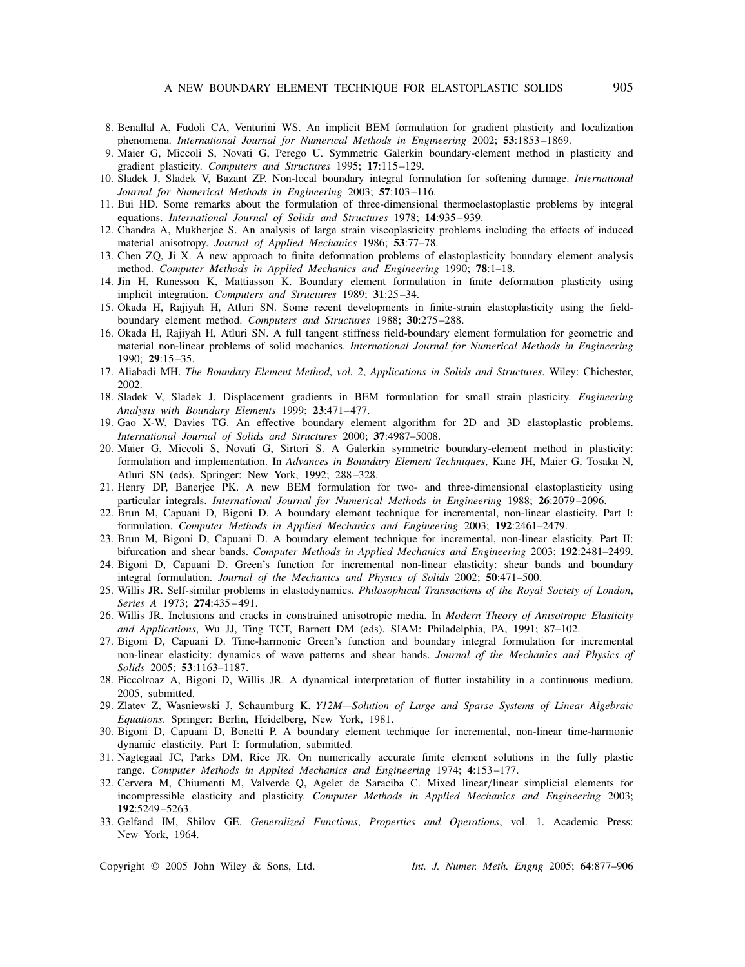- 8. Benallal A, Fudoli CA, Venturini WS. An implicit BEM formulation for gradient plasticity and localization phenomena. *International Journal for Numerical Methods in Engineering* 2002; **53**:1853–1869.
- 9. Maier G, Miccoli S, Novati G, Perego U. Symmetric Galerkin boundary-element method in plasticity and gradient plasticity. *Computers and Structures* 1995; **17**:115–129.
- 10. Sladek J, Sladek V, Bazant ZP. Non-local boundary integral formulation for softening damage. *International Journal for Numerical Methods in Engineering* 2003; **57**:103–116.
- 11. Bui HD. Some remarks about the formulation of three-dimensional thermoelastoplastic problems by integral equations. *International Journal of Solids and Structures* 1978; **14**:935–939.
- 12. Chandra A, Mukherjee S. An analysis of large strain viscoplasticity problems including the effects of induced material anisotropy. *Journal of Applied Mechanics* 1986; **53**:77–78.
- 13. Chen ZQ, Ji X. A new approach to finite deformation problems of elastoplasticity boundary element analysis method. *Computer Methods in Applied Mechanics and Engineering* 1990; **78**:1–18.
- 14. Jin H, Runesson K, Mattiasson K. Boundary element formulation in finite deformation plasticity using implicit integration. *Computers and Structures* 1989; **31**:25–34.
- 15. Okada H, Rajiyah H, Atluri SN. Some recent developments in finite-strain elastoplasticity using the fieldboundary element method. *Computers and Structures* 1988; **30**:275–288.
- 16. Okada H, Rajiyah H, Atluri SN. A full tangent stiffness field-boundary element formulation for geometric and material non-linear problems of solid mechanics. *International Journal for Numerical Methods in Engineering* 1990; **29**:15–35.
- 17. Aliabadi MH. *The Boundary Element Method*, *vol. 2*, *Applications in Solids and Structures*. Wiley: Chichester, 2002.
- 18. Sladek V, Sladek J. Displacement gradients in BEM formulation for small strain plasticity. *Engineering Analysis with Boundary Elements* 1999; **23**:471–477.
- 19. Gao X-W, Davies TG. An effective boundary element algorithm for 2D and 3D elastoplastic problems. *International Journal of Solids and Structures* 2000; **37**:4987–5008.
- 20. Maier G, Miccoli S, Novati G, Sirtori S. A Galerkin symmetric boundary-element method in plasticity: formulation and implementation. In *Advances in Boundary Element Techniques*, Kane JH, Maier G, Tosaka N, Atluri SN (eds). Springer: New York, 1992; 288–328.
- 21. Henry DP, Banerjee PK. A new BEM formulation for two- and three-dimensional elastoplasticity using particular integrals. *International Journal for Numerical Methods in Engineering* 1988; **26**:2079–2096.
- 22. Brun M, Capuani D, Bigoni D. A boundary element technique for incremental, non-linear elasticity. Part I: formulation. *Computer Methods in Applied Mechanics and Engineering* 2003; **192**:2461–2479.
- 23. Brun M, Bigoni D, Capuani D. A boundary element technique for incremental, non-linear elasticity. Part II: bifurcation and shear bands. *Computer Methods in Applied Mechanics and Engineering* 2003; **192**:2481–2499.
- 24. Bigoni D, Capuani D. Green's function for incremental non-linear elasticity: shear bands and boundary integral formulation. *Journal of the Mechanics and Physics of Solids* 2002; **50**:471–500.
- 25. Willis JR. Self-similar problems in elastodynamics. *Philosophical Transactions of the Royal Society of London*, *Series A* 1973; **274**:435–491.
- 26. Willis JR. Inclusions and cracks in constrained anisotropic media. In *Modern Theory of Anisotropic Elasticity and Applications*, Wu JJ, Ting TCT, Barnett DM (eds). SIAM: Philadelphia, PA, 1991; 87–102.
- 27. Bigoni D, Capuani D. Time-harmonic Green's function and boundary integral formulation for incremental non-linear elasticity: dynamics of wave patterns and shear bands. *Journal of the Mechanics and Physics of Solids* 2005; **53**:1163–1187.
- 28. Piccolroaz A, Bigoni D, Willis JR. A dynamical interpretation of flutter instability in a continuous medium. 2005, submitted.
- 29. Zlatev Z, Wasniewski J, Schaumburg K. *Y12M—Solution of Large and Sparse Systems of Linear Algebraic Equations*. Springer: Berlin, Heidelberg, New York, 1981.
- 30. Bigoni D, Capuani D, Bonetti P. A boundary element technique for incremental, non-linear time-harmonic dynamic elasticity. Part I: formulation, submitted.
- 31. Nagtegaal JC, Parks DM, Rice JR. On numerically accurate finite element solutions in the fully plastic range. *Computer Methods in Applied Mechanics and Engineering* 1974; **4**:153–177.
- 32. Cervera M, Chiumenti M, Valverde Q, Agelet de Saraciba C. Mixed linear*/*linear simplicial elements for incompressible elasticity and plasticity. *Computer Methods in Applied Mechanics and Engineering* 2003; **192**:5249–5263.
- 33. Gelfand IM, Shilov GE. *Generalized Functions*, *Properties and Operations*, vol. 1. Academic Press: New York, 1964.